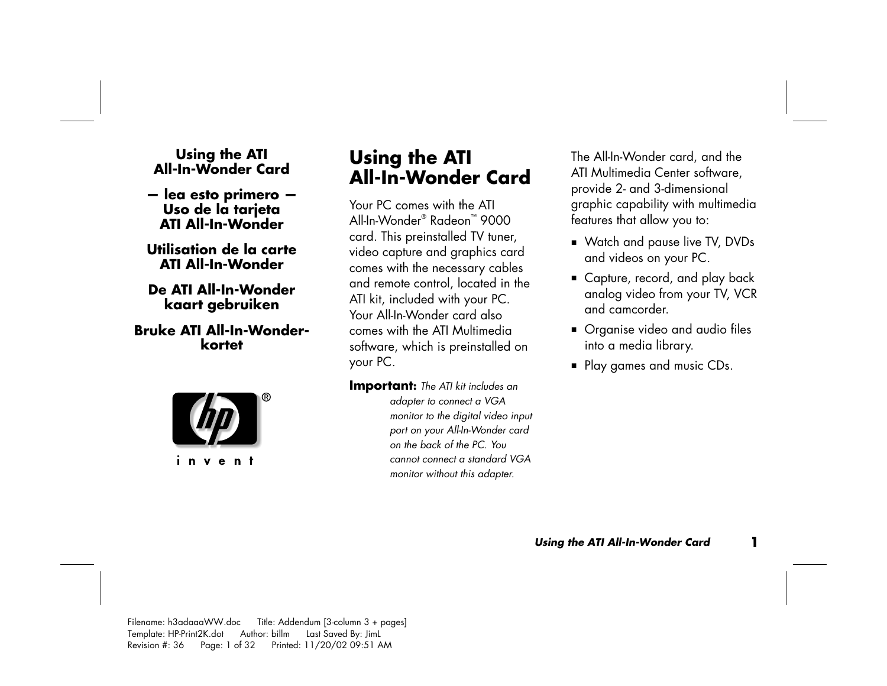# **Using the ATI All-In-Wonder Card**

- **lea esto primero Uso de la tarjeta ATI All-In-Wonder**
- **Utilisation de la carte ATI All-In-Wonder**

#### **De ATI All-In-Wonder kaart gebruiken**

#### **Bruke ATI All-In-Wonderkortet**



invent

## **Using the ATI All-In-Wonder Card**

Your PC comes with the ATI All-In-Wonder® Radeon™ 9000 card. This preinstalled TV tuner, video capture and graphics card comes with the necessary cables and remote control, located in the ATI kit, included with your PC. Your All-In-Wonder card also comes with the ATI Multimedia software, which is preinstalled on your PC.

**Important:** *The ATI kit includes an adapter to connect a VGA monitor to the digital video input port on your All-In-Wonder card on the back of the PC. You cannot connect a standard VGA monitor without this adapter.* 

The All-In-Wonder card, and the ATI Multimedia Center software, provide 2- and 3-dimensional graphic capability with multimedia features that allow you to:

- Watch and pause live TV, DVDs and videos on your PC.
- Capture, record, and play back analog video from your TV, VCR and camcorder.
- **•** Organise video and audio files into a media library.
- Play games and music CDs.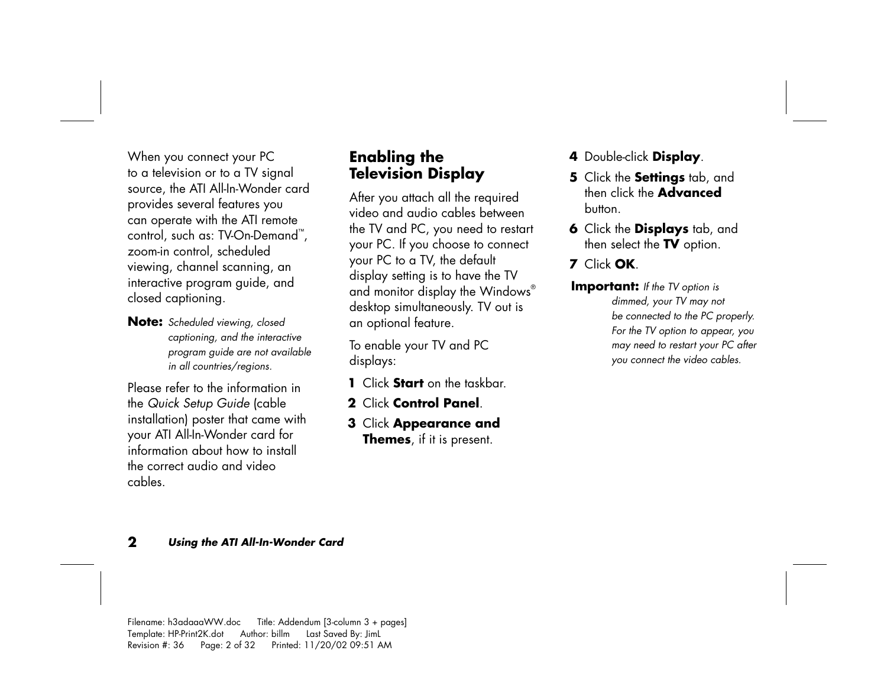When you connect your PC to a television or to a TV signal source, the ATI All-In-Wonder card provides several features you can operate with the ATI remote control, such as: TV-On-Demand™, zoom-in control, scheduled viewing, channel scanning, an interactive program guide, and closed captioning.

**Note:** *Scheduled viewing, closed captioning, and the interactive program guide are not available in all countries/regions.* 

Please refer to the information in the *Quick Setup Guide* (cable installation) poster that came with your ATI All-In-Wonder card for information about how to install the correct audio and video cables.

#### **Enabling the Television Display**

After you attach all the required video and audio cables between the TV and PC, you need to restart your PC. If you choose to connect your PC to a TV, the default display setting is to have the TV and monitor display the Windows® desktop simultaneously. TV out is an optional feature.

To enable your TV and PC displays:

- **1** Click **Start** on the taskbar.
- **2** Click **Control Panel**.
- **3** Click **Appearance and Themes**, if it is present.
- **<sup>4</sup>**Double-click **Display**.
- **5** Click the **Settings** tab, and then click the **Advanced**button.
- **6** Click the **Displays** tab, and then select the **TV** option.

#### **7** Click **OK**.

**Important:** *If the TV option is dimmed, your TV may not be connected to the PC properly. For the TV option to appear, you may need to restart your PC after you connect the video cables.*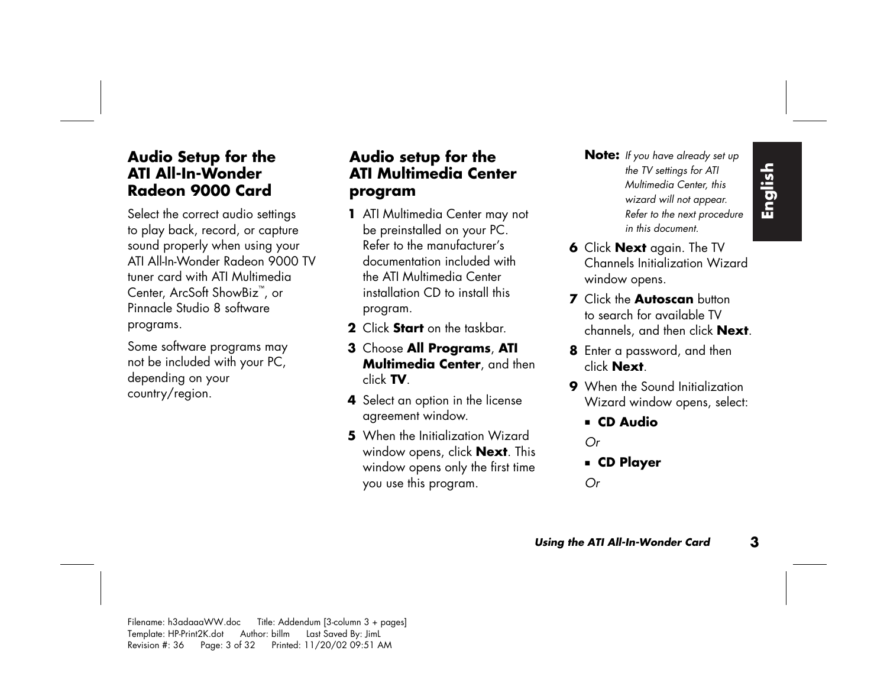to play back, record, or capture sound properly when using your ATI All-In-Wonder Radeon 9000 TV tuner card with ATI Multimedia Center, ArcSoft ShowBiz ™ , or Pinnacle Studio 8 software programs.

Some software programs may not be included with your PC, depending on your country/region.

#### **Audio setup for the ATI Multimedia Center program**

- **<sup>1</sup>**ATI Multimedia Center may not be preinstalled on your PC. Refer to the manufacturer's documentation included with the ATI Multimedia Center installation CD to install this program.
- **2** Click **Start** on the taskbar.
- **3** Choose **All Programs**, **ATI Multimedia Center**, and then click **TV**.
- **4** Select an option in the license agreement window.
- **5** When the Initialization Wizard window opens, click **Next**. This window opens only the first time you use this program.
- **Audio Setup for the Audio setup for the Note:** If you have already set up<br> **ATI All-In-Wonder ATI Multimedia Center** the TV settings for ATI<br>
Radeon 9000 Card **Program** *Refer to the next procedure* of the correct audio s **Note:** *If you have already set up the TV settings for ATI Multimedia Center, this wizard will not appear. Refer to the next procedure in this document.* 
	- **6** Click **Next** again. The TV Channels Initialization Wizard window opens.
	- **7** Click the **Autoscan** button to search for available TV channels, and then click **Next**.
	- **8** Enter a password, and then click **Next**.
	- **9** When the Sound Initialization Wizard window opens, select:
		- **CD Audio**

*Or* 

**CD Player**

*Or*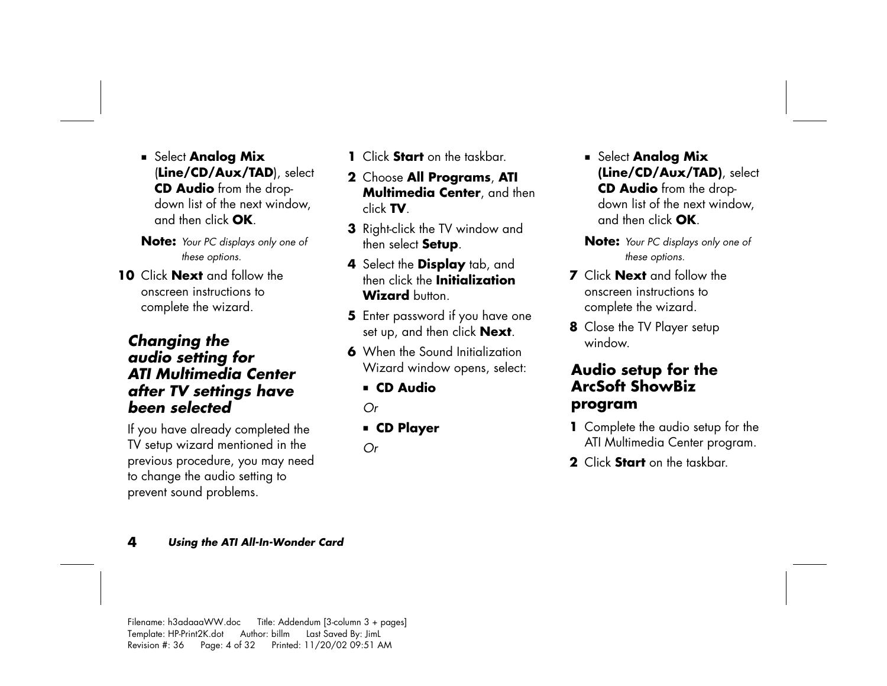**E** Select **Analog Mix** (**Line/CD/Aux/TAD**), select **CD Audio** from the dropdown list of the next window, and then click **OK**.

**Note:** *Your PC displays only one of these options.* 

**10** Click **Next** and follow the onscreen instructions to complete the wizard.

#### *Changing the audio setting for ATI Multimedia Center after TV settings have been selected*

If you have already completed the TV setup wizard mentioned in the previous procedure, you may need to change the audio setting to prevent sound problems.

- **1** Click **Start** on the taskbar.
- **2** Choose **All Programs**, **ATI Multimedia Center**, and then click **TV**.
- **3** Right-click the TV window and then select **Setup**.
- **<sup>4</sup>**Select the **Display** tab, and then click the **Initialization** Wizard button
- **5** Enter password if you have one set up, and then click **Next**.
- **6** When the Sound Initialization Wizard window opens, select:
	- **CD Audio**

*Or*

- **CD Player**
- *Or*
- Select **Analog Mix (Line/CD/Aux/TAD)**, select **CD Audio** from the dropdown list of the next window, and then click **OK**.
- **Note:** *Your PC displays only one of these options.*
- **7** Click **Next** and follow the onscreen instructions to complete the wizard.
- **8** Close the TV Player setup window.

#### **Audio setup for the ArcSoft ShowBiz program**

- **1** Complete the audio setup for the ATI Multimedia Center program.
- **2** Click **Start** on the taskbar.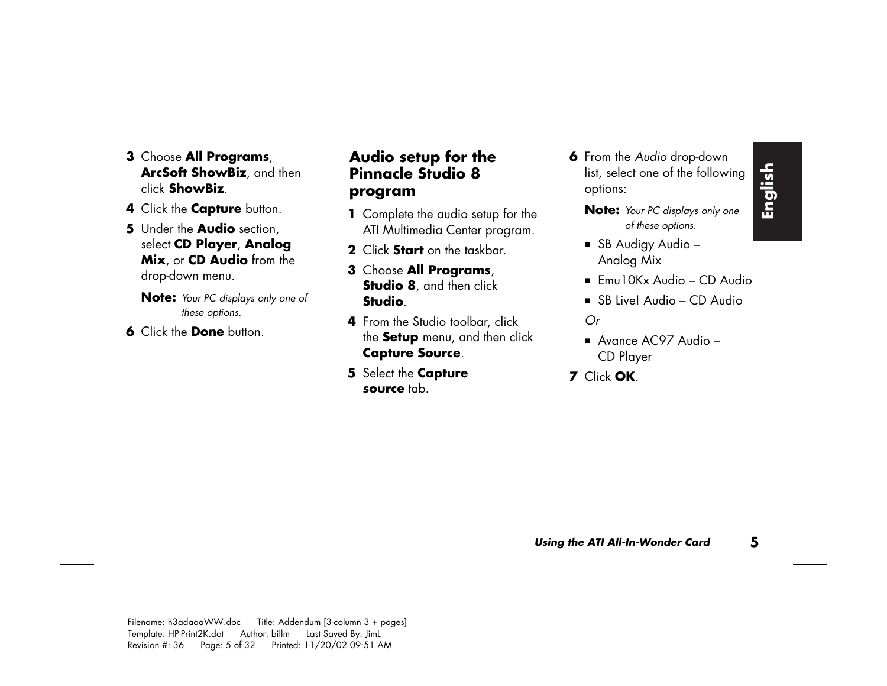- **3** Choose **All Programs**, **ArcSoft ShowBiz**, and then click **ShowBiz**.
- **<sup>4</sup>**Click the **Capture** button.
- **5** Under the **Audio** section, select **CD Player**, **Analog Mix**, or **CD Audio** from the drop-down menu.
	- **Note:** *Your PC displays only one of these options.*
- **6** Click the **Done** button.

### **Audio setup for the Pinnacle Studio 8 program**

- **1** Complete the audio setup for the ATI Multimedia Center program.
- **2** Click **Start** on the taskbar.
- **3** Choose **All Programs**, **Studio 8**, and then click **Studio**.
- **4** From the Studio toolbar, click the **Setup** menu, and then click **Capture Source**.
- **5** Select the **Capture source** tab.

**6** From the *Audio* drop-down list, select one of the following options:

**Note:** *Your PC displays only one of these options.* 

- SB Audigy Audio Analog Mix
- $\blacksquare$  Emu10Kx Audio CD Audio
- SB Live! Audio CD Audio *Or*
- Avance AC97 Audio CD Player
- **7** Click **OK**.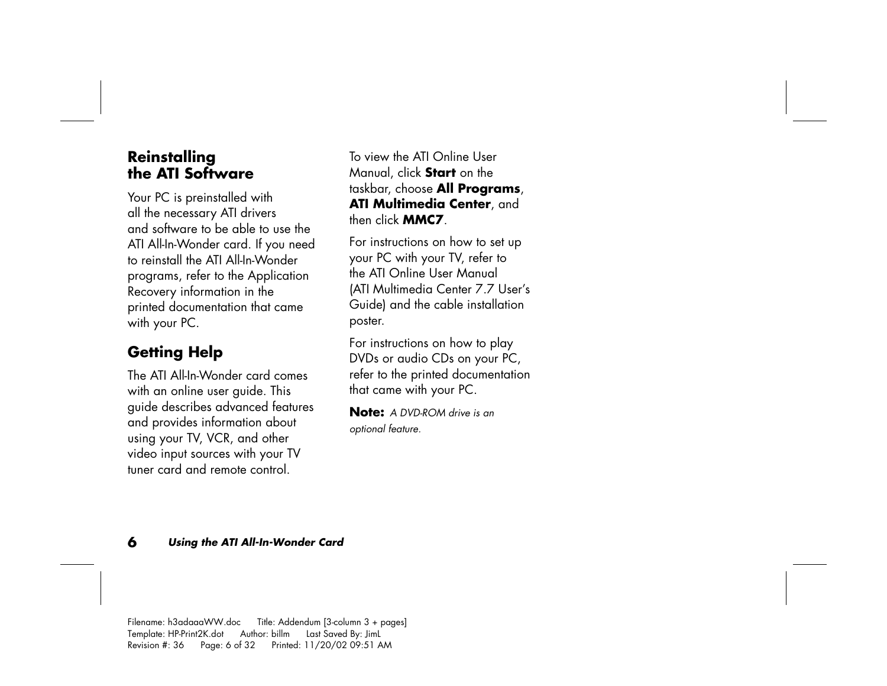#### **Reinstalling the ATI Software**

Your PC is preinstalled with all the necessary ATI drivers and software to be able to use the ATI All-In-Wonder card. If you need to reinstall the ATI All-In-Wonder programs, refer to the Application Recovery information in the printed documentation that came with your PC.

## **Getting Help**

The ATI All-In-Wonder card comes with an online user guide. This guide describes advanced features and provides information about using your TV, VCR, and other video input sources with your TV tuner card and remote control.

To view the ATI Online User Manual, click **Start** on the taskbar, choose **All Programs**, **ATI Multimedia Center**, and then click **MMC7**.

For instructions on how to set up your PC with your TV, refer to the ATI Online User Manual (ATI Multimedia Center 7.7 User's Guide) and the cable installation poster.

For instructions on how to play DVDs or audio CDs on your PC, refer to the printed documentation that came with your PC.

**Note:** *A DVD-ROM drive is an optional feature.*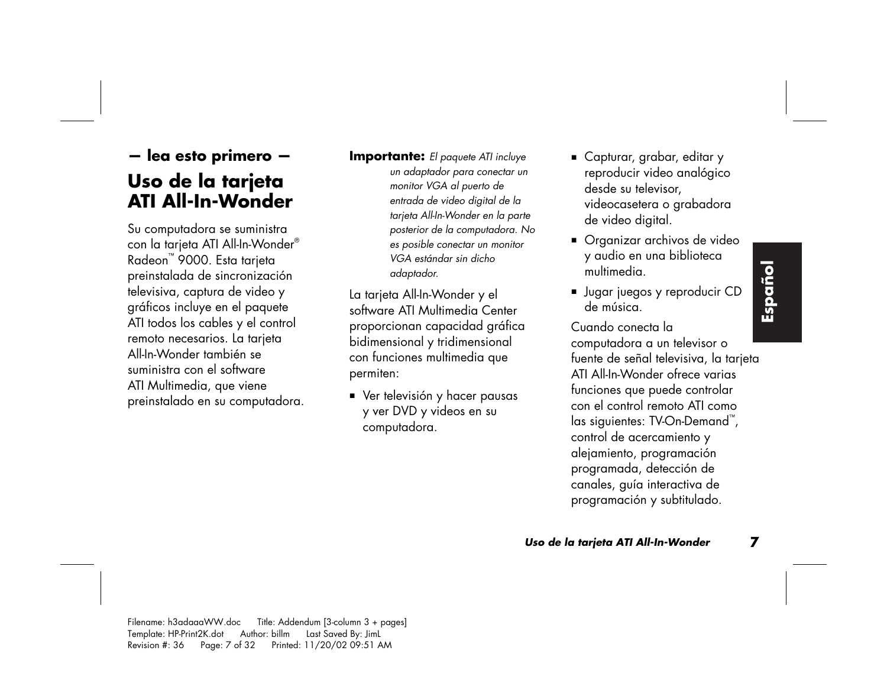## **— lea esto primero — Uso de la tarjeta ATI All-In-Wonder**

Su computadora se suministra con la tarjeta ATI All-In-Wonder® Radeon ™ 9000. Esta tarjeta preinstalada de sincronización televisiva, captura de video y gráficos incluye en el paquete ATI todos los cables y el control remoto necesarios. La tarjeta All-In-Wonder también se suministra con el software ATI Multimedia, que viene preinstalado en su computadora. **Importante:** *El paquete ATI incluye un adaptador para conectar un monitor VGA al puerto de entrada de video digital de la tarjeta All-In-Wonder en la parte posterior de la computadora. No es posible conectar un monitor VGA estándar sin dicho adaptador.* 

La tarjeta All-In-Wonder y el software ATI Multimedia Center proporcionan capacidad gráfica bidimensional y tridimensional con funciones multimedia que permiten:

 Ver televisión y hacer pausas y ver DVD y videos en su computadora.

- Capturar, grabar, editar y reproducir video analógico desde su televisor, videocasetera o grabadora de video digital.
- Organizar archivos de video y audio en una biblioteca multimedia.
- Jugar juegos y reproducir CD de música.

Cuando conecta la computadora a un televisor o fuente de señal televisiva, la tarjeta ATI All-In-Wonder ofrece varias funciones que puede controlar con el control remoto ATI como las siguientes: TV-On-Demand ™ , control de acercamiento y alejamiento, programación programada, detección de canales, guía interactiva de programación y subtitulado.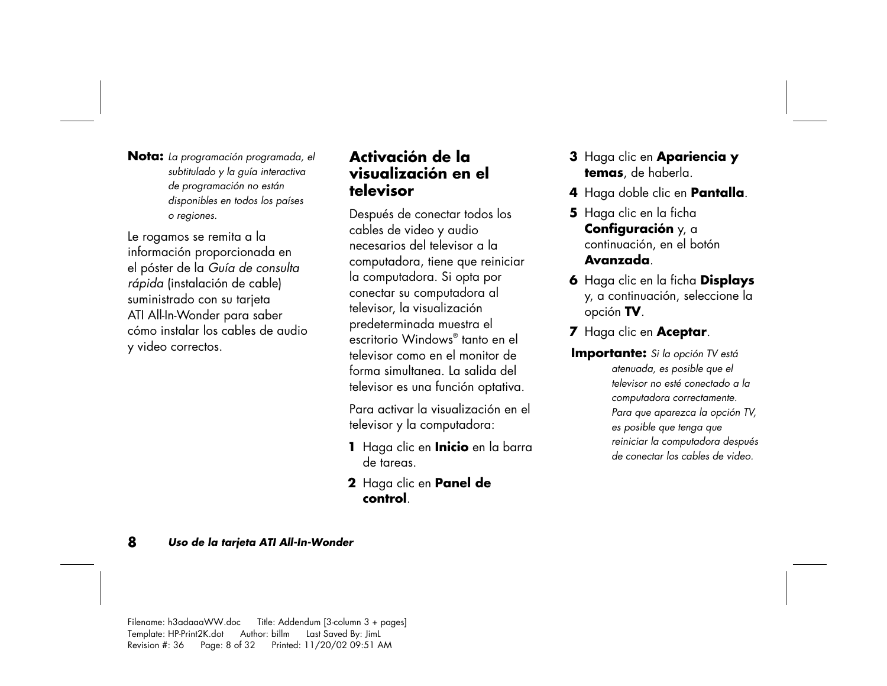**Nota:** *La programación programada, el subtitulado y la guía interactiva de programación no están disponibles en todos los países o regiones.* 

Le rogamos se remita a la información proporcionada en el póster de la *Guía de consulta rápida* (instalación de cable) suministrado con su tarjeta ATI All-In-Wonder para saber cómo instalar los cables de audio y video correctos.

#### **Activación de la visualización en el televisor**

Después de conectar todos los cables de video y audio necesarios del televisor a la computadora, tiene que reiniciar la computadora. Si opta por conectar su computadora al televisor, la visualización predeterminada muestra el escritorio Windows® tanto en el televisor como en el monitor de forma simultanea. La salida del televisor es una función optativa.

Para activar la visualización en el televisor y la computadora:

- **<sup>1</sup>**Haga clic en **Inicio** en la barra de tareas.
- **2** Haga clic en **Panel de control**.
- **3** Haga clic en **Apariencia y temas**, de haberla.
- **<sup>4</sup>**Haga doble clic en **Pantalla**.
- **5** Haga clic en la ficha **Configuración** y, a continuación, en el botón **Avanzada**.
- **6** Haga clic en la ficha **Displays** y, a continuación, seleccione la opción **TV**.
- **<sup>7</sup>**Haga clic en **Aceptar**.
- **Importante:** *Si la opción TV está atenuada, es posible que el televisor no esté conectado a la computadora correctamente. Para que aparezca la opción TV, es posible que tenga que reiniciar la computadora después de conectar los cables de video.*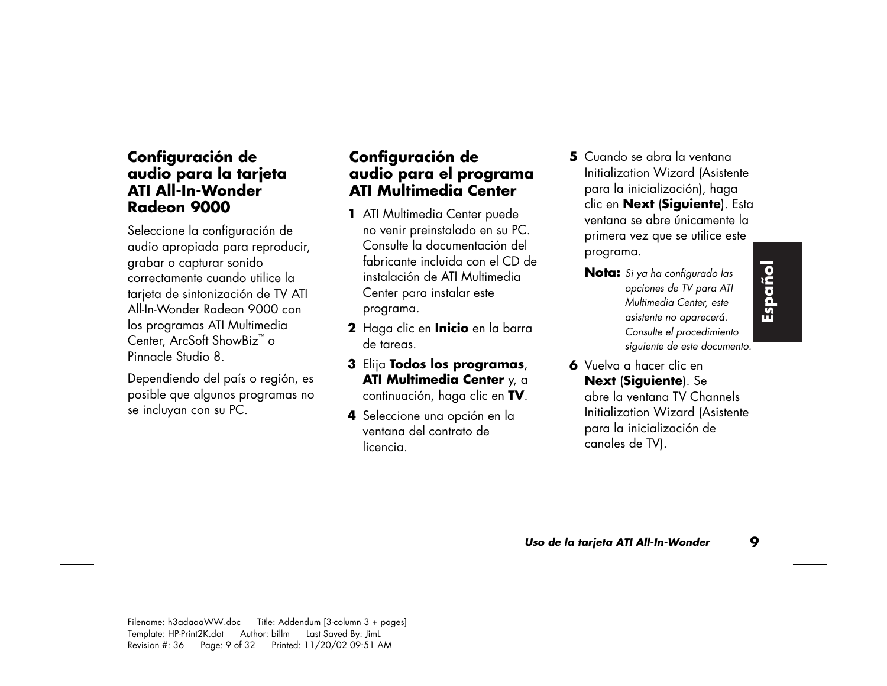#### **Configuración de audio para la tarjeta ATI All-In-Wonder Radeon 9000**

Seleccione la configuración de audio apropiada para reproducir, grabar o capturar sonido correctamente cuando utilice la tarjeta de sintonización de TV ATI All-In-Wonder Radeon 9000 con los programas ATI Multimedia Center, ArcSoft ShowBiz™ o Pinnacle Studio 8.

Dependiendo del país o región, es posible que algunos programas no se incluyan con su PC.

#### **Configuración de audio para el programa ATI Multimedia Center**

- **<sup>1</sup>**ATI Multimedia Center puede no venir preinstalado en su PC. Consulte la documentación del fabricante incluida con el CD de instalación de ATI Multimedia Center para instalar este programa.
- **2** Haga clic en **Inicio** en la barra de tareas.
- **3** Elija **Todos los programas**, **ATI Multimedia Center** y, a continuación, haga clic en **TV**.
- **<sup>4</sup>**Seleccione una opción en la ventana del contrato de licencia.
- **5** Cuando se abra la ventana Initialization Wizard (Asistente para la inicialización), haga clic en **Next** (**Siguiente**). Esta ventana se abre únicamente la primera vez que se utilice este programa.
	- **Nota:** *Si ya ha configurado las opciones de TV para ATI Multimedia Center, este asistente no aparecerá. Consulte el procedimiento siguiente de este documento.*
- **Español**
- **6** Vuelva a hacer clic en **Next** (**Siguiente**). Se abre la ventana TV Channels Initialization Wizard (Asistente para la inicialización de canales de TV).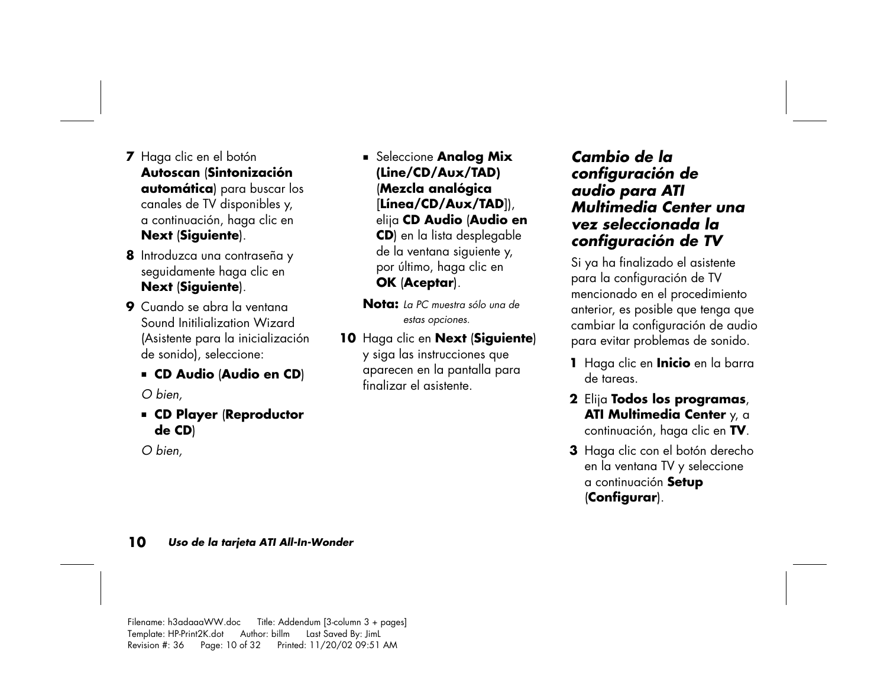- **<sup>7</sup>**Haga clic en el botón **Autoscan** (**Sintonización automática**) para buscar los canales de TV disponibles y, a continuación, haga clic en **Next** (**Siguiente**).
- **8** Introduzca una contraseña y seguidamente haga clic en **Next** (**Siguiente**).
- **9** Cuando se abra la ventana Sound Initilialization Wizard (Asistente para la inicialización de sonido), seleccione:
	- **CD Audio** (**Audio en CD**)

*O bien,* 

 **CD Player** (**Reproductor de CD**)

*O bien,* 

- **Example 2 Seleccione Analog Mix (Line/CD/Aux/TAD)**  (**Mezcla analógica**  [**Línea/CD/Aux/TAD**]), elija **CD Audio** (**Audio en CD**) en la lista desplegable de la ventana siguiente y, por último, haga clic en **OK** (**Aceptar**).
- **Nota:** *La PC muestra sólo una de estas opciones.*
- **10** Haga clic en **Next** (**Siguiente**) y siga las instrucciones que aparecen en la pantalla para finalizar el asistente.

#### *Cambio de la configuración de audio para ATI Multimedia Center una vez seleccionada la configuración de TV*

Si ya ha finalizado el asistente para la configuración de TV mencionado en el procedimiento anterior, es posible que tenga que cambiar la configuración de audio para evitar problemas de sonido.

- **<sup>1</sup>**Haga clic en **Inicio** en la barra de tareas.
- **2** Elija **Todos los programas**, **ATI Multimedia Center** y, a continuación, haga clic en **TV**.
- **3** Haga clic con el botón derecho en la ventana TV y seleccione a continuación **Setup** (**Configurar**).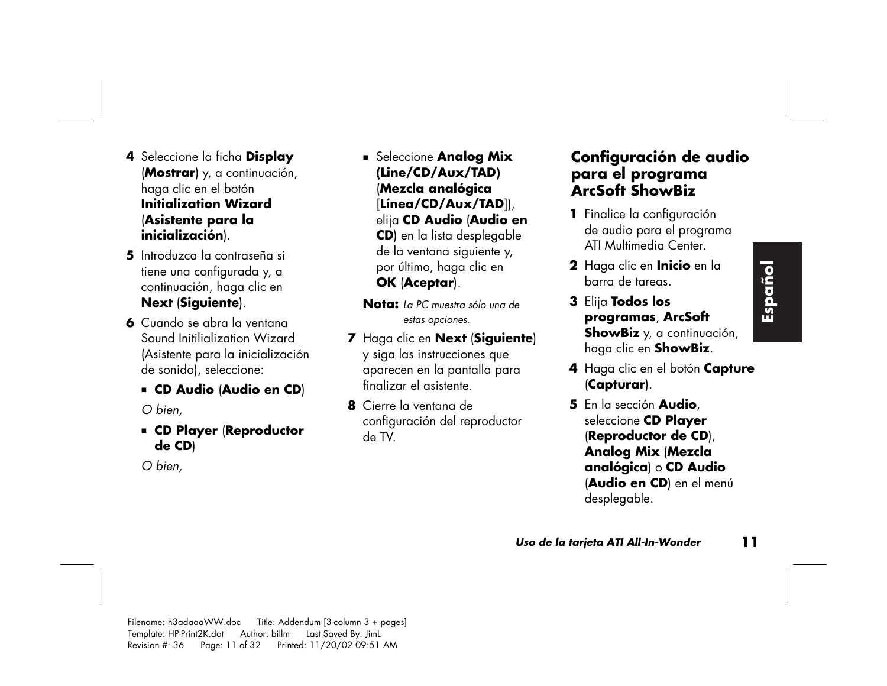- **<sup>4</sup>**Seleccione la ficha **Display** (**Mostrar**) y, a continuación, haga clic en el botón **Initialization Wizard**(**Asistente para la inicialización**).
- **5** Introduzca la contraseña si tiene una configurada y, a continuación, haga clic en **Next** (**Siguiente**).
- **6** Cuando se abra la ventana Sound Initilialization Wizard (Asistente para la inicialización de sonido), seleccione:
	- **CD Audio** (**Audio en CD**)

*O bien,* 

 **CD Player** (**Reproductor de CD**)

*O bien,* 

- **Seleccione Analog Mix (Line/CD/Aux/TAD)**  (**Mezcla analógica**  [**Línea/CD/Aux/TAD**]), elija **CD Audio** (**Audio en CD**) en la lista desplegable de la ventana siguiente y, por último, haga clic en **OK** (**Aceptar**).
- **Nota:** *La PC muestra sólo una de estas opciones.*
- **<sup>7</sup>**Haga clic en **Next** (**Siguiente**) y siga las instrucciones que aparecen en la pantalla para finalizar el asistente.
- **8** Cierre la ventana de configuración del reproductor de TV.

#### **Configuración de audio para el programa ArcSoft ShowBiz**

- **<sup>1</sup>**Finalice la configuración de audio para el programa ATI Multimedia Center.
- **2** Haga clic en **Inicio** en la barra de tareas.
- **3** Elija **Todos los programas**, **ArcSoft ShowBiz** y, a continuación, haga clic en **ShowBiz**.
- **<sup>4</sup>**Haga clic en el botón **Capture** (**Capturar**).
- **5** En la sección **Audio**, seleccione **CD Player** (**Reproductor de CD**), **Analog Mix** (**Mezcla analógica**) o **CD Audio** (**Audio en CD**) en el menú desplegable.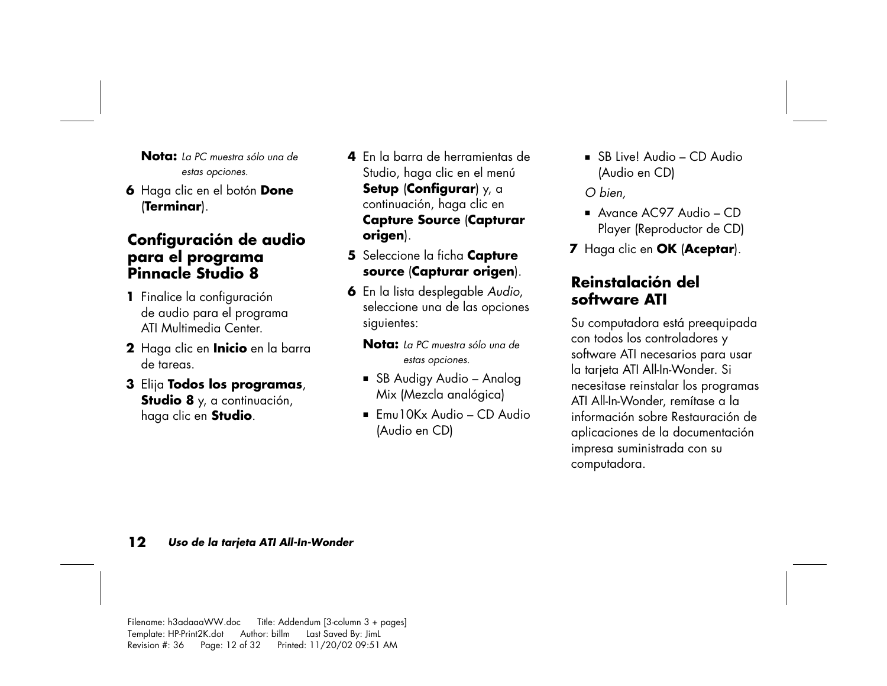**Nota:** *La PC muestra sólo una de estas opciones.* 

**6** Haga clic en el botón **Done** (**Terminar**).

#### **Configuración de audio para el programa Pinnacle Studio 8**

- **<sup>1</sup>**Finalice la configuración de audio para el programa ATI Multimedia Center.
- **2** Haga clic en **Inicio** en la barra de tareas.
- **3** Elija **Todos los programas**, **Studio 8** y, a continuación, haga clic en **Studio**.
- **4** En la barra de herramientas de Studio, haga clic en el menú **Setup** (**Configurar**) y, a continuación, haga clic en **Capture Source** (**Capturar origen**).
- **5** Seleccione la ficha **Capture source** (**Capturar origen**).
- **6** En la lista desplegable *Audio*, seleccione una de las opciones siguientes:
	- **Nota:** *La PC muestra sólo una de estas opciones.*
	- SB Audigy Audio Analog Mix (Mezcla analógica)
	- $\blacksquare$  Emu10Kx Audio CD Audio (Audio en CD)

 SB Live! Audio – CD Audio (Audio en CD)

*O bien,* 

- Avance AC97 Audio CD Player (Reproductor de CD)
- **<sup>7</sup>**Haga clic en **OK** (**Aceptar**).

#### **Reinstalación del software ATI**

Su computadora está preequipada con todos los controladores y software ATI necesarios para usar la tarjeta ATI All-In-Wonder. Si necesitase reinstalar los programas ATI All-In-Wonder, remítase a la información sobre Restauración de aplicaciones de la documentación impresa suministrada con su computadora.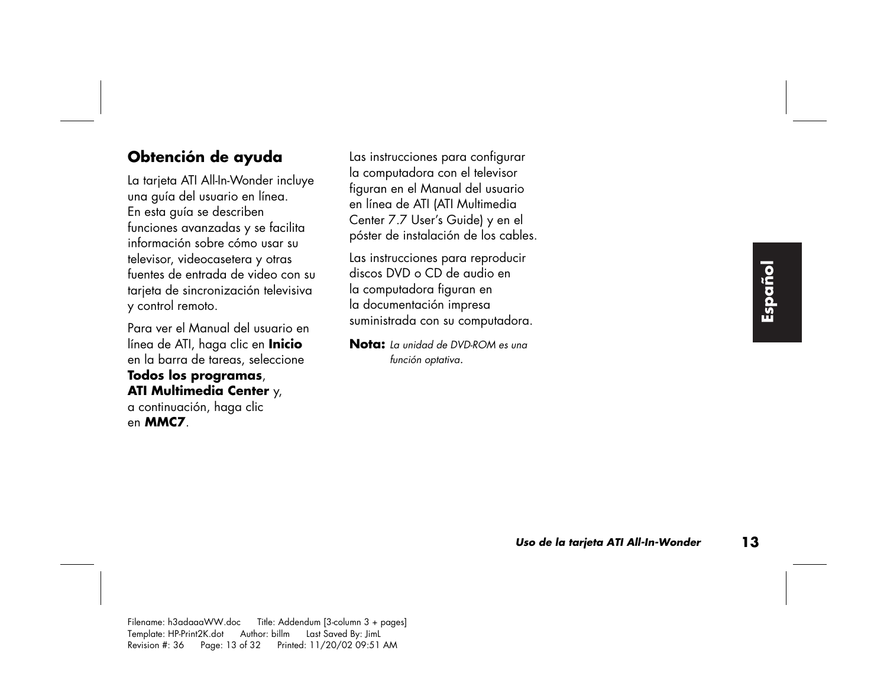#### **Obtención de ayuda**

La tarjeta ATI All-In-Wonder incluye una guía del usuario en línea. En esta guía se describen funciones avanzadas y se facilita información sobre cómo usar su televisor, videocasetera y otras fuentes de entrada de video con su tarjeta de sincronización televisiva y control remoto.

Para ver el Manual del usuario en línea de ATI, haga clic en **Inicio**  en la barra de tareas, seleccione **Todos los programas**, **ATI Multimedia Center** y, a continuación, haga clic en **MMC7**.

Las instrucciones para configurar la computadora con el televisor figuran en el Manual del usuario en línea de ATI (ATI Multimedia Center 7.7 User's Guide) y en el <sup>p</sup>óster de instalación de los cables.

Las instrucciones para reproducir discos DVD o CD de audio en la computadora figuran en la documentación impresa suministrada con su computadora.

**Nota:** *La unidad de DVD-ROM es una función optativa.*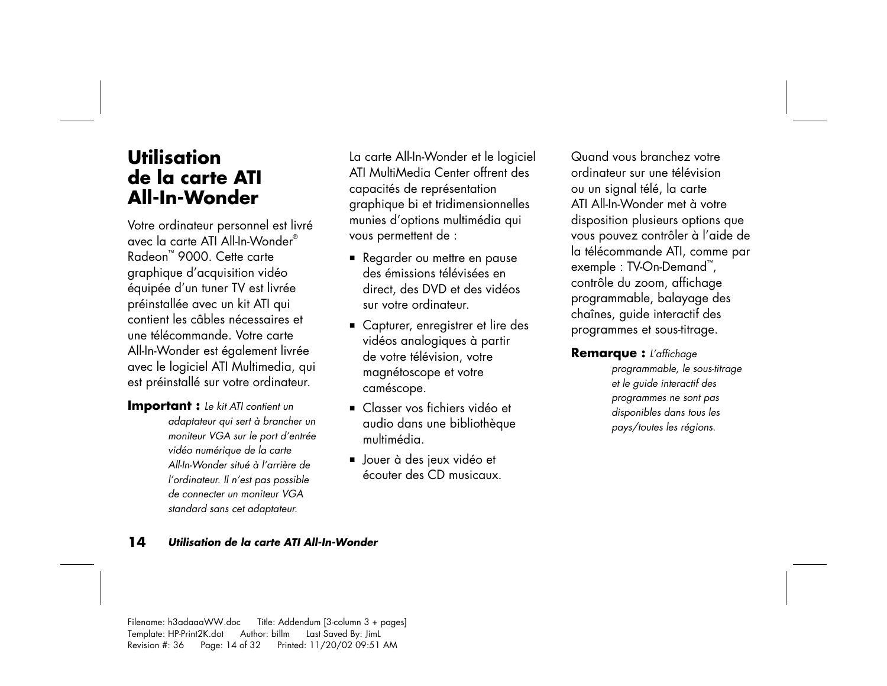## **Utilisation de la carte ATI All-In-Wonder**

Votre ordinateur personnel est livré avec la carte ATI All-In-Wonder® Radeon™ 9000. Cette carte graphique d'acquisition vidéo équipée d'un tuner TV est livrée préinstallée avec un kit ATI qui contient les câbles nécessaires et une télécommande. Votre carte All-In-Wonder est également livrée avec le logiciel ATI Multimedia, qui est préinstallé sur votre ordinateur.

**Important :** *Le kit ATI contient un adaptateur qui sert à brancher un moniteur VGA sur le port d'entrée vidéo numérique de la carte All-In-Wonder situé à l'arrière de l'ordinateur. Il n'est pas possible de connecter un moniteur VGA standard sans cet adaptateur.* 

La carte All-In-Wonder et le logiciel ATI MultiMedia Center offrent des capacités de représentation graphique bi et tridimensionnelles munies d'options multimédia qui vous permettent de :

- Regarder ou mettre en pause des émissions télévisées en direct, des DVD et des vidéos sur votre ordinateur.
- Capturer, enregistrer et lire des vidéos analogiques à partir de votre télévision, votre magnétoscope et votre caméscope.
- Classer vos fichiers vidéo et audio dans une bibliothèque multimédia.
- Jouer à des jeux vidéo et écouter des CD musicaux.

Quand vous branchez votre ordinateur sur une télévision ou un signal télé, la carte ATI All-In-Wonder met à votre disposition plusieurs options que vous pouvez contrôler à l'aide de la télécommande ATI, comme par exemple : TV-On-Demand™, contrôle du zoom, affichage programmable, balayage des chaînes, guide interactif des programmes et sous-titrage.

**Remarque :** *L'affichage* 

*programmable, le sous-titrage et le guide interactif des programmes ne sont pas disponibles dans tous les pays/toutes les régions.*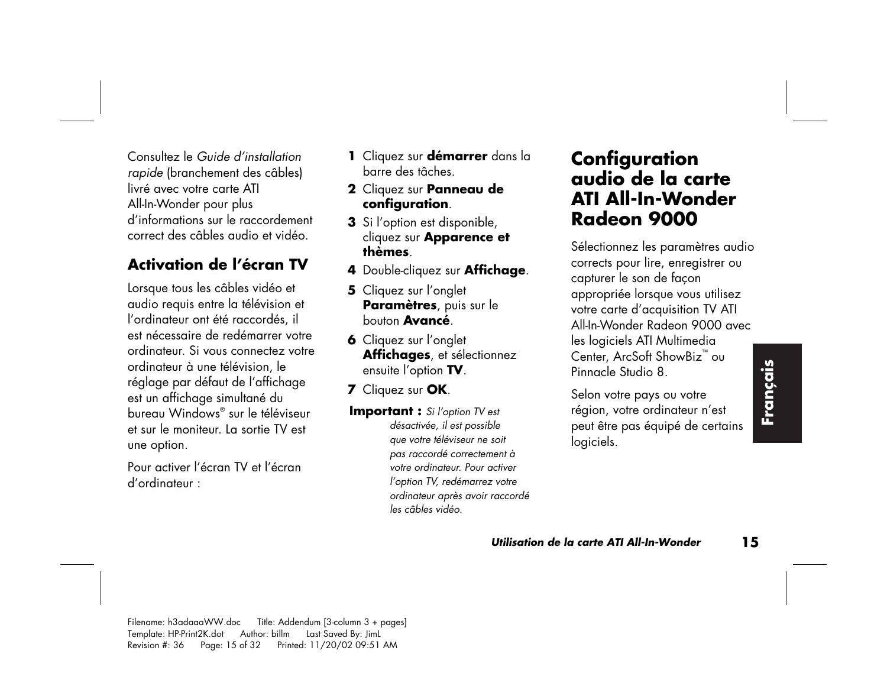Consultez le *Guide d'installationrapide* (branchement des câbles) livré avec votre carte ATI All-In-Wonder pour plus d'informations sur le raccordement correct des câbles audio et vidéo.

## **Activation de l'écran TV**

Lorsque tous les câbles vidéo et audio requis entre la télévision et l'ordinateur ont été raccordés, il est nécessaire de redémarrer votre ordinateur. Si vous connectez votre ordinateur à une télévision, le réglage par défaut de l'affichage est un affichage simultané du bureau Windows® sur le téléviseur et sur le moniteur. La sortie TV est une option.

Pour activer l'écran TV et l'écran d'ordinateur :

- **<sup>1</sup>**Cliquez sur **démarrer** dans la barre des tâches.
- **2** Cliquez sur **Panneau de configuration**.
- **3** Si l'option est disponible, cliquez sur **Apparence et thèmes**.
- **<sup>4</sup>**Double-cliquez sur **Affichage**.
- **5** Cliquez sur l'onglet **Paramètres**, puis sur le bouton **Avancé**.
- **6** Cliquez sur l'onglet **Affichages**, et sélectionnez ensuite l'option **TV**.
- **<sup>7</sup>**Cliquez sur **OK**.
- **Important :** *Si l'option TV est désactivée, il est possible que votre téléviseur ne soit pas raccordé correctement à votre ordinateur. Pour activer l'option TV, redémarrez votre ordinateur après avoir raccordé les câbles vidéo.*

## **Configuration audio de la carte ATI All-In-Wonder Radeon 9000**

Sélectionnez les paramètres audio corrects pour lire, enregistrer ou capturer le son de façon appropriée lorsque vous utilisez votre carte d'acquisition TV ATI All-In-Wonder Radeon 9000 avec les logiciels ATI Multimedia Center, ArcSoft ShowBiz™ ou Pinnacle Studio 8.

Selon votre pays ou votre région, votre ordinateur n'est peut être pas équipé de certains logiciels.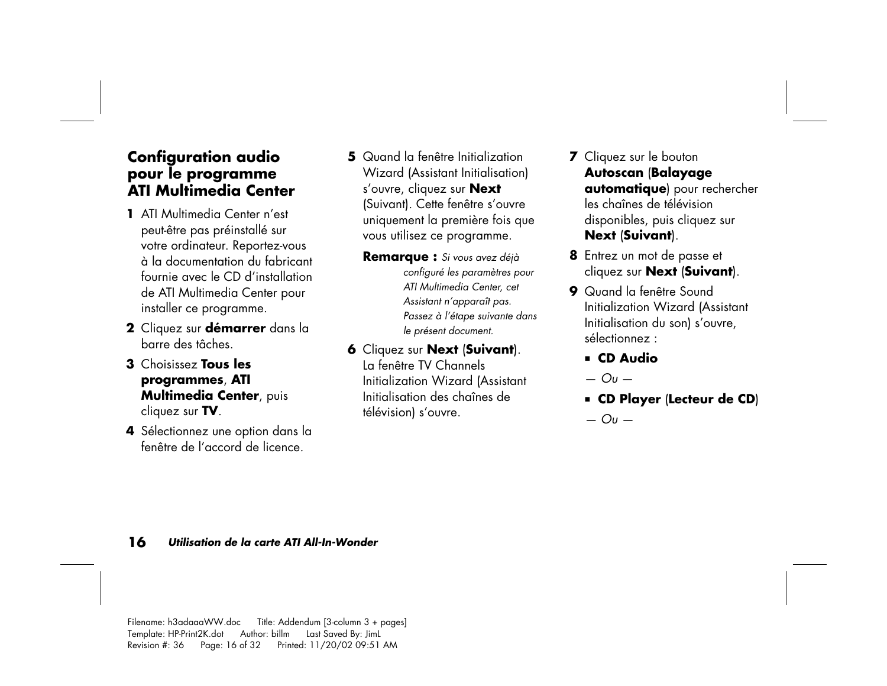#### **Configuration audio pour le programme ATI Multimedia Center**

- **1** ATI Multimedia Center n'est peut-être pas préinstallé sur votre ordinateur. Reportez-vous à la documentation du fabricant fournie avec le CD d'installation de ATI Multimedia Center pour installer ce programme.
- **2** Cliquez sur **démarrer** dans la barre des tâches.
- **3** Choisissez **Tous les programmes**, **ATI Multimedia Center**, puis cliquez sur **TV**.
- **<sup>4</sup>**Sélectionnez une option dans la fenêtre de l'accord de licence.
- **5** Quand la fenêtre Initialization Wizard (Assistant Initialisation) <sup>s</sup>'ouvre, cliquez sur **Next** (Suivant). Cette fenêtre s'ouvre uniquement la première fois que vous utilisez ce programme.
	- **Remarque :** *Si vous avez déjà configuré les paramètres pour ATI Multimedia Center, cet Assistant n'apparaît pas. Passez à l'étape suivante dans le présent document.*
- **6** Cliquez sur **Next** (**Suivant**). La fenêtre TV Channels Initialization Wizard (Assistant Initialisation des chaînes de télévision) s'ouvre.
- **7** Cliquez sur le bouton **Autoscan** (**Balayage automatique**) pour rechercher les chaînes de télévision disponibles, puis cliquez sur **Next** (**Suivant**).
- **8** Entrez un mot de passe et cliquez sur **Next** (**Suivant**).
- **9** Quand la fenêtre Sound Initialization Wizard (Assistant Initialisation du son) s'ouvre, sélectionnez :
	- **CD Audio**
	- *Ou* —
	- **CD Player** (**Lecteur de CD**)
	- *Ou*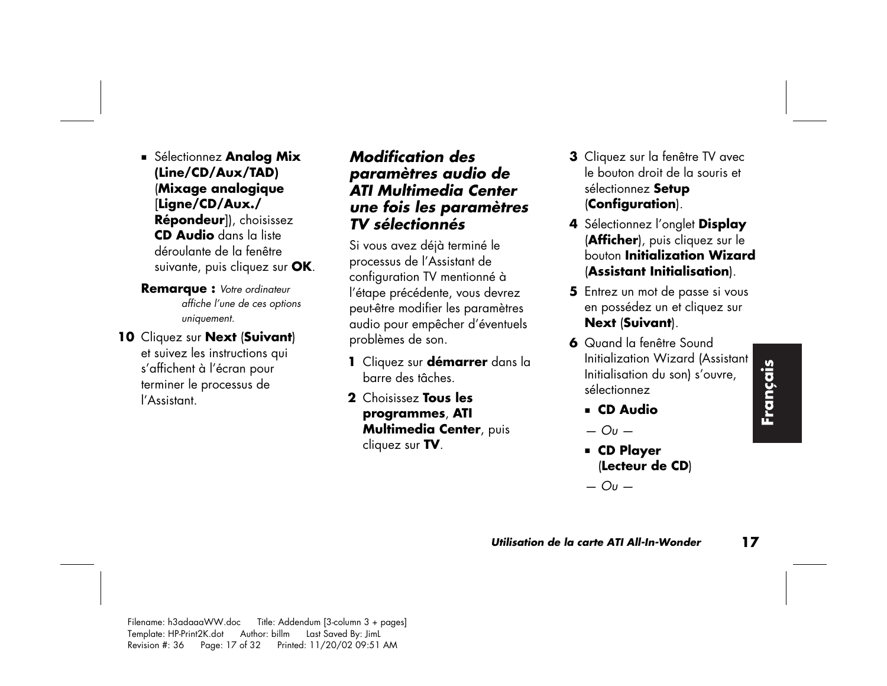- Sélectionnez **Analog Mix (Line/CD/Aux/TAD)**  (**Mixage analogique**  [**Ligne/CD/Aux./ Répondeur**]), choisissez **CD Audio** dans la liste déroulante de la fenêtre suivante, puis cliquez sur **OK**.
- **Remarque :** *Votre ordinateur affiche l'une de ces options uniquement.*
- **10** Cliquez sur **Next** (**Suivant**) et suivez les instructions qui <sup>s</sup>'affichent à l'écran pour terminer le processus de

l'Assistant.

#### *Modification des paramètres audio de ATI Multimedia Center une fois les paramètres TV sélectionnés*

Si vous avez déjà terminé le processus de l'Assistant de configuration TV mentionné à l'étape précédente, vous devrez peut-être modifier les paramètres audio pour empêcher d'éventuels problèmes de son.

- **<sup>1</sup>**Cliquez sur **démarrer** dans la barre des tâches.
- **2** Choisissez **Tous les programmes**, **ATI Multimedia Center**, puis cliquez sur **TV**.
- **3** Cliquez sur la fenêtre TV avec le bouton droit de la souris et sélectionnez **Setup** (**Configuration**).
- **<sup>4</sup>**Sélectionnez l'onglet **Display** (**Afficher**), puis cliquez sur le bouton **Initialization Wizard**(**Assistant Initialisation**).
- **5** Entrez un mot de passe si vous en possédez un et cliquez sur **Next** (**Suivant**).
- **6** Quand la fenêtre Sound Initialization Wizard (Assistant Initialisation du son) s'ouvre, sélectionnez
	- **CD Audio**
	- *Ou*
	- **CD Player** (**Lecteur de CD**)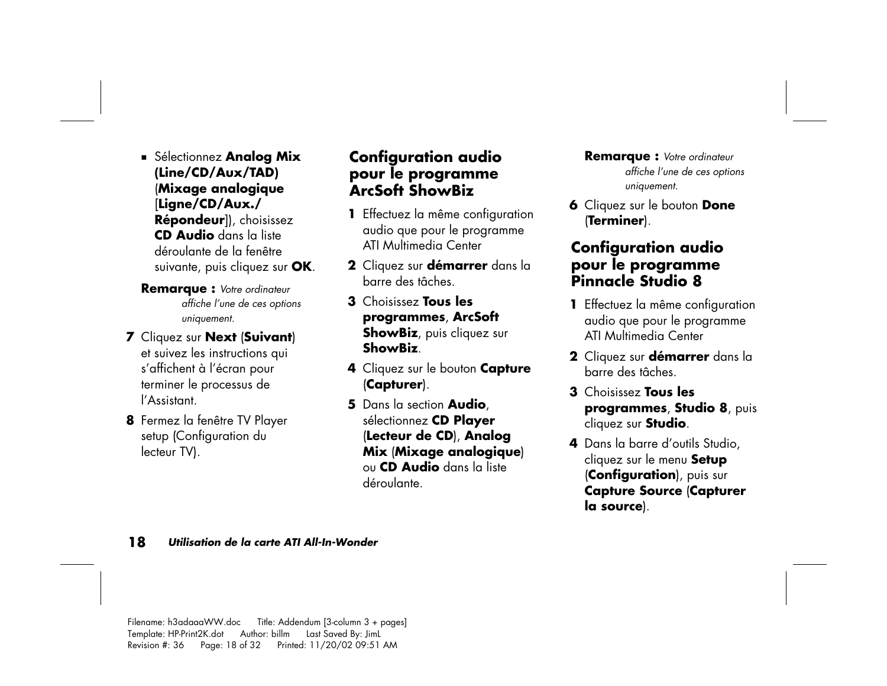- Sélectionnez **Analog Mix (Line/CD/Aux/TAD)**  (**Mixage analogique**  [**Ligne/CD/Aux./ Répondeur**]), choisissez **CD Audio** dans la liste déroulante de la fenêtre suivante, puis cliquez sur **OK**.
- **Remarque :** *Votre ordinateur affiche l'une de ces options uniquement.*
- **<sup>7</sup>**Cliquez sur **Next** (**Suivant**) et suivez les instructions qui <sup>s</sup>'affichent à l'écran pour terminer le processus de l'Assistant.
- **8** Fermez la fenêtre TV Player setup (Configuration du lecteur TV).

#### **Configuration audio pour le programme ArcSoft ShowBiz**

- **<sup>1</sup>**Effectuez la même configuration audio que pour le programme ATI Multimedia Center
- **2** Cliquez sur **démarrer** dans la barre des tâches.
- **3** Choisissez **Tous les programmes**, **ArcSoft ShowBiz**, puis cliquez sur **ShowBiz**.
- **<sup>4</sup>**Cliquez sur le bouton **Capture** (**Capturer**).
- **5** Dans la section **Audio**, sélectionnez **CD Player** (**Lecteur de CD**), **Analog Mix** (**Mixage analogique**) ou **CD Audio** dans la liste déroulante.

**Remarque :** *Votre ordinateur affiche l'une de ces options uniquement.* 

**6** Cliquez sur le bouton **Done** (**Terminer**).

#### **Configuration audio pour le programme Pinnacle Studio 8**

- **<sup>1</sup>**Effectuez la même configuration audio que pour le programme ATI Multimedia Center
- **2** Cliquez sur **démarrer** dans la barre des tâches.
- **3** Choisissez **Tous les programmes**, **Studio 8**, puis cliquez sur **Studio**.
- **4** Dans la barre d'outils Studio, cliquez sur le menu **Setup**  (**Configuration**), puis sur **Capture Source** (**Capturer la source**).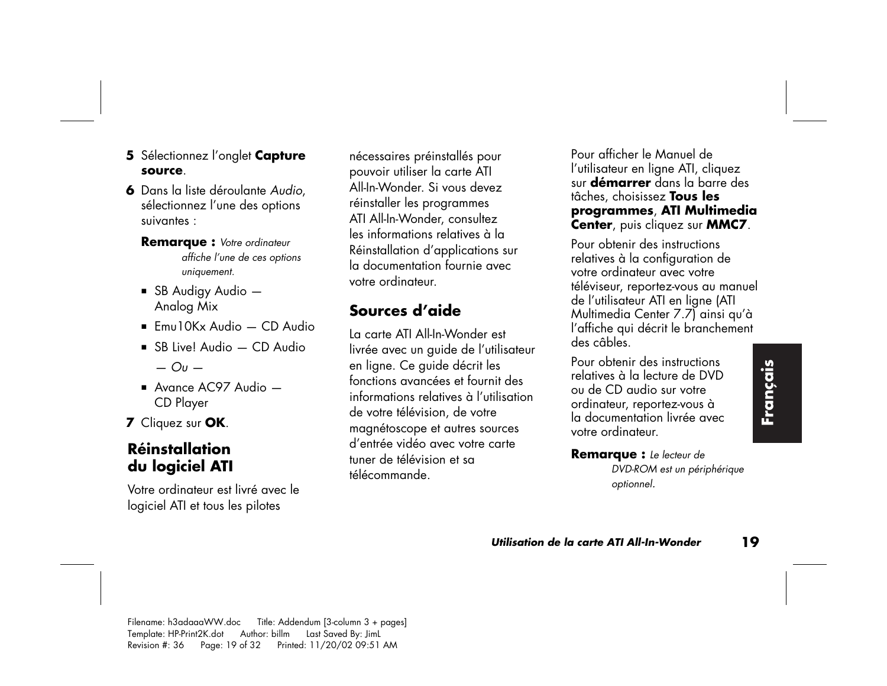- **5** Sélectionnez l'onglet **Capture source**.
- **6** Dans la liste déroulante *Audio*, sélectionnez l'une des options suivantes :
	- **Remarque :** *Votre ordinateur affiche l'une de ces options uniquement.*
	- $\blacksquare$  SB Audigy Audio  $\blacksquare$ Analog Mix
	- $\blacksquare$  Emu10Kx Audio CD Audio
	- SB Live! Audio CD Audio *— Ou —*
	- Avance AC97 Audio CD Player
- **<sup>7</sup>**Cliquez sur **OK**.

### **Réinstallation du logiciel ATI**

Votre ordinateur est livré avec le logiciel ATI et tous les pilotes

nécessaires préinstallés pour pouvoir utiliser la carte ATI All-In-Wonder. Si vous devez réinstaller les programmes ATI All-In-Wonder, consultez les informations relatives à la Réinstallation d'applications sur la documentation fournie avec votre ordinateur.

## **Sources d'aide**

La carte ATI All-In-Wonder est livrée avec un guide de l'utilisateur en ligne. Ce guide décrit les fonctions avancées et fournit des informations relatives à l'utilisation de votre télévision, de votre magnétoscope et autres sources d'entrée vidéo avec votre carte tuner de télévision et sa télécommande.

Pour afficher le Manuel de l'utilisateur en ligne ATI, cliquez sur **démarrer** dans la barre des tâches, choisissez **Tous les programmes**, **ATI Multimedia Center**, puis cliquez sur **MMC7**.

Pour obtenir des instructions relatives à la configuration de votre ordinateur avec votre téléviseur, reportez-vous au manuel de l'utilisateur ATI en ligne (ATI Multimedia Center 7.7) ainsi qu'à l'affiche qui décrit le branchement des câbles.

Pour obtenir des instructions relatives à la lecture de DVD ou de CD audio sur votre ordinateur, reportez-vous à la documentation livrée avec votre ordinateur.

**Remarque :** *Le lecteur de DVD-ROM est un périphérique optionnel.*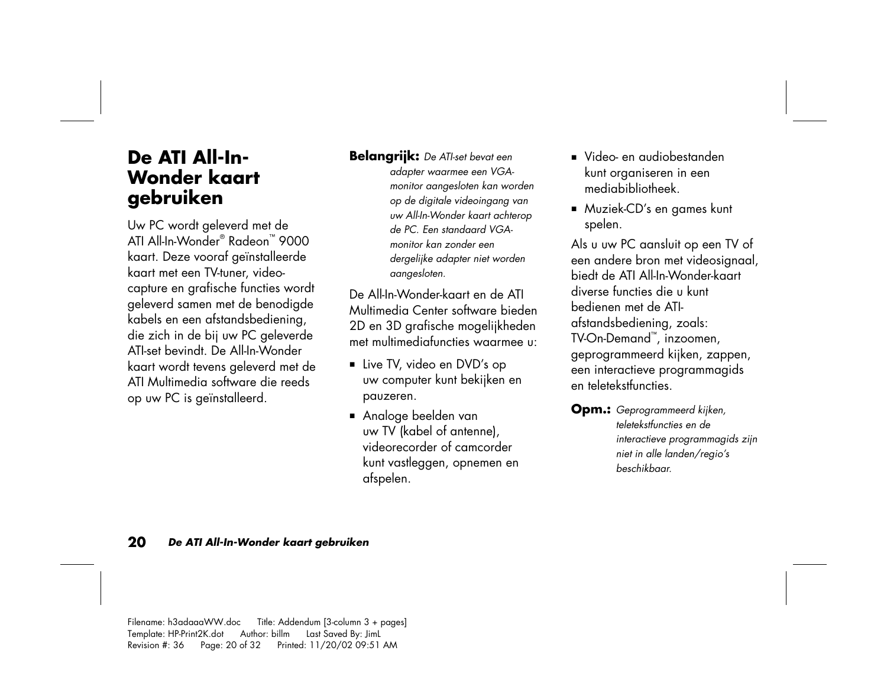## **De ATI All-In-Wonder kaart gebruiken**

Uw PC wordt geleverd met de ATI All-In-Wonder® Radeon™ 9000 kaart. Deze vooraf geïnstalleerde kaart met een TV-tuner, videocapture en grafische functies wordt geleverd samen met de benodigde kabels en een afstandsbediening, die zich in de bij uw PC geleverde ATI-set bevindt. De All-In-Wonder kaart wordt tevens geleverd met de ATI Multimedia software die reeds op uw PC is geïnstalleerd.

#### **Belangrijk:** *De ATI-set bevat een*

*adapter waarmee een VGAmonitor aangesloten kan worden op de digitale videoingang van uw All-In-Wonder kaart achterop de PC. Een standaard VGAmonitor kan zonder een dergelijke adapter niet worden aangesloten.* 

De All-In-Wonder-kaart en de ATI Multimedia Center software bieden 2D en 3D grafische mogelijkheden met multimediafuncties waarmee u:

- Live TV, video en DVD's op uw computer kunt bekijken en pauzeren.
- Analoge beelden van uw TV (kabel of antenne), videorecorder of camcorder kunt vastleggen, opnemen en afspelen.
- Video- en audiobestanden kunt organiseren in een mediabibliotheek.
- Muziek-CD's en games kunt spelen.

Als u uw PC aansluit op een TV of een andere bron met videosignaal, biedt de ATI All-In-Wonder-kaart diverse functies die u kunt bedienen met de ATIafstandsbediening, zoals: TV-On-Demand™, inzoomen, geprogrammeerd kijken, zappen, een interactieve programmagids en teletekstfuncties.

**Opm.:** *Geprogrammeerd kijken, teletekstfuncties en de interactieve programmagids zijn niet in alle landen/regio's beschikbaar.*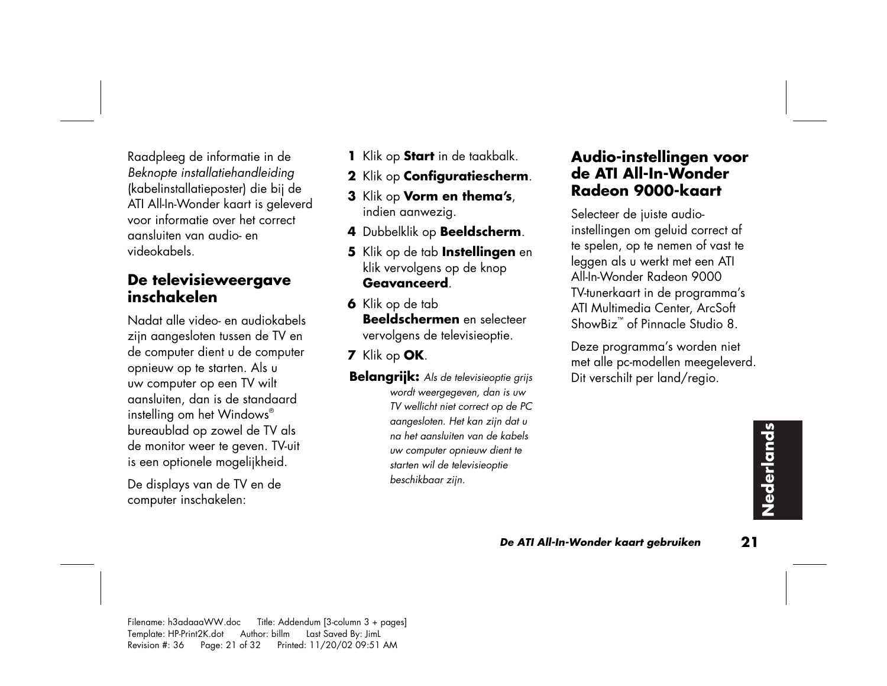Raadpleeg de informatie in de *Beknopte installatiehandleiding*  (kabelinstallatieposter) die bij de ATI All-In-Wonder kaart is geleverd voor informatie over het correct aansluiten van audio- en videokabels.

#### **De televisieweergave inschakelen**

Nadat alle video- en audiokabels zijn aangesloten tussen de TV en de computer dient u de computer opnieuw op te starten. Als u uw computer op een TV wilt aansluiten, dan is de standaard instelling om het Windows® bureaublad op zowel de TV als de monitor weer te geven. TV-uit is een optionele mogelijkheid.

De displays van de TV en de computer inschakelen:

- **<sup>1</sup>**Klik op **Start** in de taakbalk.
- **2** Klik op **Configuratiescherm**.
- **3** Klik op **Vorm en thema's**, indien aanwezig.
- **<sup>4</sup>**Dubbelklik op **Beeldscherm**.
- **5** Klik op de tab **Instellingen** en klik vervolgens op de knop **Geavanceerd**.
- **6** Klik op de tab **Beeldschermen** en selecteer vervolgens de televisieoptie.
- **<sup>7</sup>**Klik op **OK**.
- **Belangrijk:** *Als de televisieoptie grijs wordt weergegeven, dan is uw TV wellicht niet correct op de PC aangesloten. Het kan zijn dat u na het aansluiten van de kabels uw computer opnieuw dient te starten wil de televisieoptie beschikbaar zijn.*

#### **Audio-instellingen voor de ATI All-In-Wonder Radeon 9000-kaart**

Selecteer de juiste audioinstellingen om geluid correct af te spelen, op te nemen of vast te leggen als u werkt met een ATI All-In-Wonder Radeon 9000 TV-tunerkaart in de programma's ATI Multimedia Center, ArcSoft ShowBiz™ of Pinnacle Studio 8.

Deze programma's worden niet met alle pc-modellen meegeleverd. Dit verschilt per land/regio.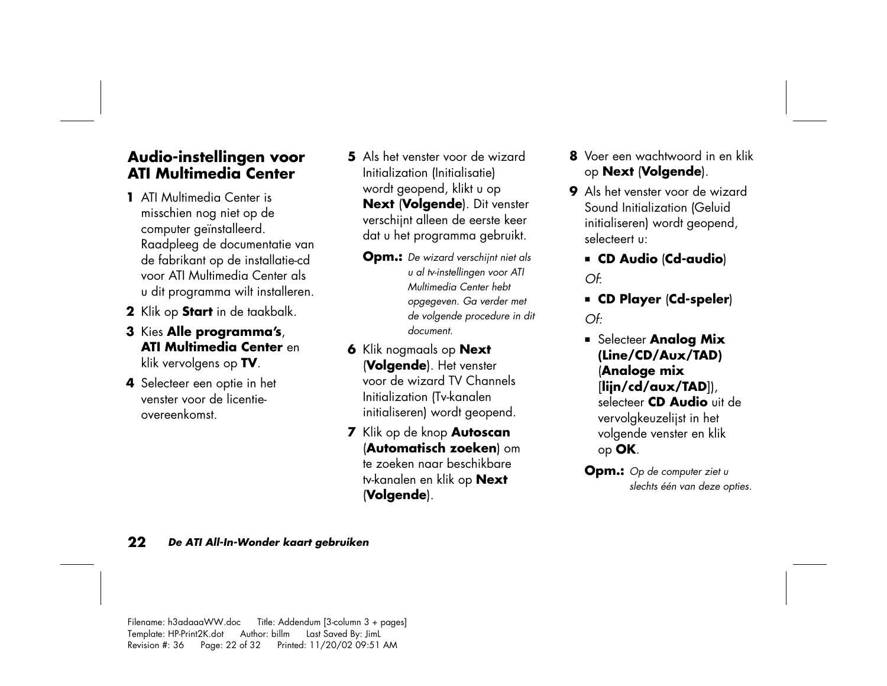#### **Audio-instellingen voor ATI Multimedia Center**

- **1** ATI Multimedia Center is misschien nog niet op de computer geïnstalleerd. Raadpleeg de documentatie van de fabrikant op de installatie-cd voor ATI Multimedia Center als u dit programma wilt installeren.
- **2** Klik op **Start** in de taakbalk.
- **3** Kies **Alle programma's**, **ATI Multimedia Center** en klik vervolgens op **TV**.
- **4** Selecteer een optie in het venster voor de licentieovereenkomst.
- **5** Als het venster voor de wizard Initialization (Initialisatie) wordt geopend, klikt u op **Next** (**Volgende**). Dit venster verschijnt alleen de eerste keer dat u het programma gebruikt.
	- **Opm.:** *De wizard verschijnt niet als u al tv-instellingen voor ATI Multimedia Center hebt opgegeven. Ga verder met de volgende procedure in dit document.*
- **6** Klik nogmaals op **Next** (**Volgende**). Het venster voor de wizard TV Channels Initialization (Tv-kanalen initialiseren) wordt geopend.
- **<sup>7</sup>**Klik op de knop **Autoscan** (**Automatisch zoeken**) om te zoeken naar beschikbare tv-kanalen en klik op **Next**  (**Volgende**).
- **8** Voer een wachtwoord in en klik op **Next** (**Volgende**).
- **9** Als het venster voor de wizard Sound Initialization (Geluid initialiseren) wordt geopend, selecteert u:
	- **CD Audio** (**Cd-audio**) *Of*:
	- **CD Player** (**Cd-speler**) *Of:*
	- **Example 3 Selecteer Analog Mix (Line/CD/Aux/TAD)**  (**Analoge mix**  [**lijn/cd/aux/TAD**]), selecteer **CD Audio** uit de vervolgkeuzelijst in het volgende venster en klik op **OK**.
	- **Opm.:** *Op de computer ziet u slechts één van deze opties.*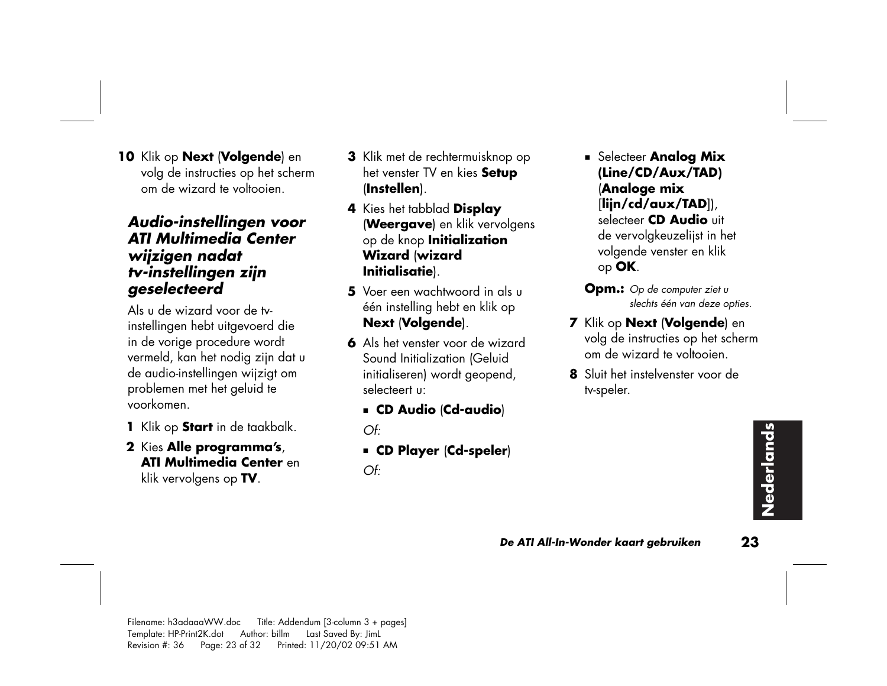**10** Klik op **Next** (**Volgende**) en volg de instructies op het scherm om de wizard te voltooien.

#### *Audio-instellingen voor ATI Multimedia Center wijzigen nadat tv-instellingen zijn geselecteerd*

Als u de wizard voor de tvinstellingen hebt uitgevoerd die in de vorige procedure wordt vermeld, kan het nodig zijn dat u de audio-instellingen wijzigt om problemen met het geluid te voorkomen.

- **<sup>1</sup>**Klik op **Start** in de taakbalk.
- **2** Kies **Alle programma's**, **ATI Multimedia Center** en klik vervolgens op **TV**.
- **3** Klik met de rechtermuisknop op het venster TV en kies **Setup** (**Instellen**).
- **<sup>4</sup>**Kies het tabblad **Display**  (**Weergave**) en klik vervolgens op de knop **Initialization Wizard** (**wizard Initialisatie**).
- **5** Voer een wachtwoord in als u één instelling hebt en klik op **Next** (**Volgende**).
- **6** Als het venster voor de wizard Sound Initialization (Geluid initialiseren) wordt geopend, selecteert u:
	- **CD Audio** (**Cd-audio**)

 $OF<sup>2</sup>$ 

- **CD Player** (**Cd-speler**)
- *Of:*

**Example 3 Selecteer Analog Mix (Line/CD/Aux/TAD)**  (**Analoge mix**  [**lijn/cd/aux/TAD**]), selecteer **CD Audio** uit de vervolgkeuzelijst in het volgende venster en klik

op **OK**.

- **Opm.:** *Op de computer ziet u slechts één van deze opties.*
- **<sup>7</sup>**Klik op **Next** (**Volgende**) en volg de instructies op het scherm om de wizard te voltooien.
- **8** Sluit het instelvenster voor de tv-speler.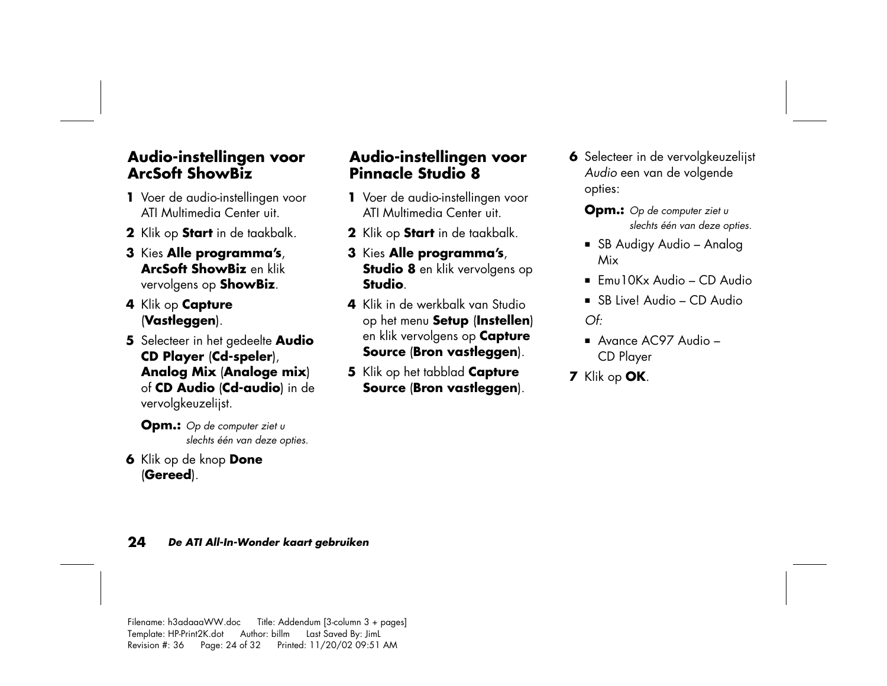#### **Audio-instellingen voor ArcSoft ShowBiz**

- **1** Voer de audio-instellingen voor ATI Multimedia Center uit.
- **2** Klik op **Start** in de taakbalk.
- **3** Kies **Alle programma's**, **ArcSoft ShowBiz** en klik vervolgens op **ShowBiz**.
- **<sup>4</sup>**Klik op **Capture** (**Vastleggen**).
- **5** Selecteer in het gedeelte **Audio CD Player** (**Cd-speler**), **Analog Mix** (**Analoge mix**) of **CD Audio** (**Cd-audio**) in de vervolgkeuzelijst.

**Opm.:** *Op de computer ziet u slechts één van deze opties.* 

**6** Klik op de knop **Done** (**Gereed**).

#### **Audio-instellingen voor Pinnacle Studio 8**

- **1** Voer de audio-instellingen voor ATI Multimedia Center uit.
- **2** Klik op **Start** in de taakbalk.
- **3** Kies **Alle programma's**, **Studio 8** en klik vervolgens op **Studio**.
- **4** Klik in de werkbalk van Studio op het menu **Setup** (**Instellen**) en klik vervolgens op **Capture Source** (**Bron vastleggen**).
- **5** Klik op het tabblad **Capture Source** (**Bron vastleggen**).
- **6** Selecteer in de vervolgkeuzelijst *Audio* een van de volgende opties:
	- **Opm.:** *Op de computer ziet u slechts één van deze opties.*
	- SB Audigy Audio Analog Mix
	- $\blacksquare$  Emu10Kx Audio CD Audio
	- SB Live! Audio CD Audio *Of:*
	- Avance AC97 Audio CD Player
- **<sup>7</sup>**Klik op **OK**.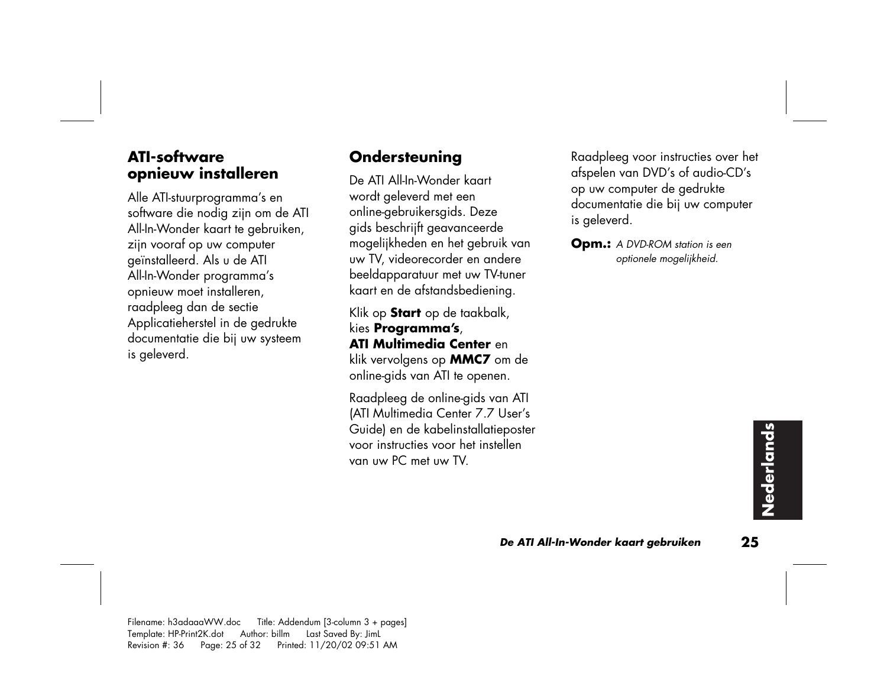#### **ATI-software opnieuw installeren**

Alle ATI-stuurprogramma's en software die nodig zijn om de ATI All-In-Wonder kaart te gebruiken, zijn vooraf op uw computer geïnstalleerd. Als u de ATI All-In-Wonder programma's opnieuw moet installeren, raadpleeg dan de sectie Applicatieherstel in de gedrukte documentatie die bij uw systeem is geleverd.

### **Ondersteuning**

De ATI All-In-Wonder kaart wordt geleverd met een online-gebruikersgids. Deze <sup>g</sup>ids beschrijft geavanceerde mogelijkheden en het gebruik van uw TV, videorecorder en andere beeldapparatuur met uw TV-tuner kaart en de afstandsbediening.

Klik op **Start** op de taakbalk, kies **Programma's**, **ATI Multimedia Center** en klik vervolgens op **MMC7** om de online-gids van ATI te openen.

Raadpleeg de online-gids van ATI (ATI Multimedia Center 7.7 User's Guide) en de kabelinstallatieposter voor instructies voor het instellen van uw PC met uw TV.

Raadpleeg voor instructies over het afspelen van DVD's of audio-CD's op uw computer de gedrukte documentatie die bij uw computer is geleverd.

**Opm.:** *A DVD-ROM station is een optionele mogelijkheid.*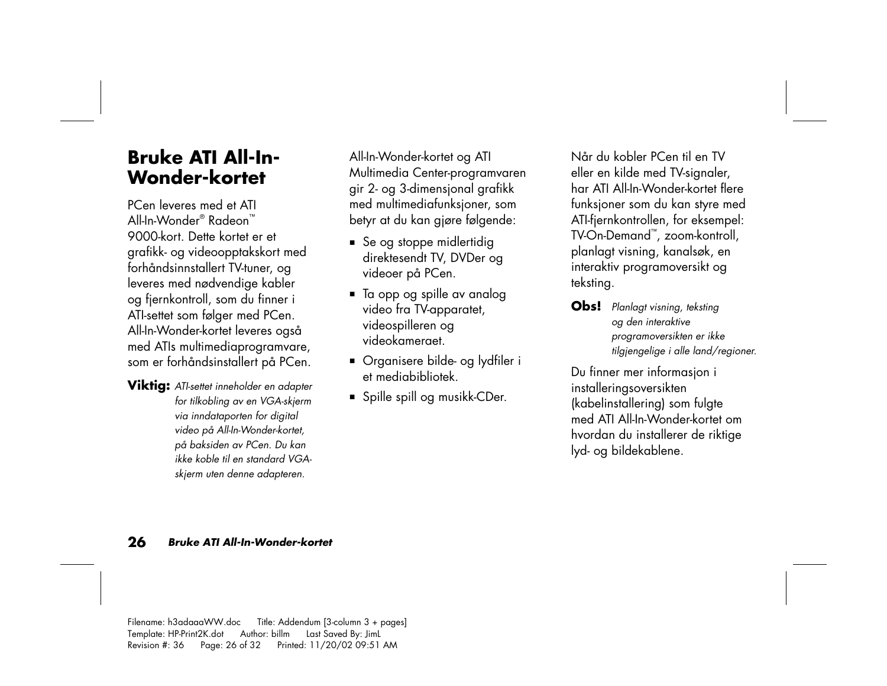## **Bruke ATI All-In-Wonder-kortet**

PCen leveres med et ATI All-In-Wonder® Radeon™ 9000-kort. Dette kortet er et grafikk- og videoopptakskort med forhåndsinnstallert TV-tuner, og leveres med nødvendige kabler og fjernkontroll, som du finner i ATI-settet som følger med PCen. All-In-Wonder-kortet leveres også med ATIs multimediaprogramvare, som er forhåndsinstallert på PCen.

**Viktig:** *ATI-settet inneholder en adapter for tilkobling av en VGA-skjerm via inndataporten for digital video på All-In-Wonder-kortet, <sup>p</sup>å baksiden av PCen. Du kan ikke koble til en standard VGAskjerm uten denne adapteren.* 

All-In-Wonder-kortet og ATI Multimedia Center-programvaren <sup>g</sup>ir 2- og 3-dimensjonal grafikk med multimediafunksjoner, som betyr at du kan gjøre følgende:

- Se og stoppe midlertidig direktesendt TV, DVDer og videoer på PCen.
- Ta opp og spille av analog video fra TV-apparatet, videospilleren og videokameraet.
- Organisere bilde- og lydfiler i et mediabibliotek.
- Spille spill og musikk-CDer.

Når du kobler PCen til en TV eller en kilde med TV-signaler, har ATI All-In-Wonder-kortet flere funksjoner som du kan styre med ATI-fjernkontrollen, for eksempel: TV-On-Demand™, zoom-kontroll, <sup>p</sup>lanlagt visning, kanalsøk, en interaktiv programoversikt og teksting.

**Obs!** *Planlagt visning, teksting og den interaktive programoversikten er ikke tilgjengelige i alle land/regioner.* 

Du finner mer informasjon i installeringsoversikten (kabelinstallering) som fulgte med ATI All-In-Wonder-kortet om hvordan du installerer de riktige lyd- og bildekablene.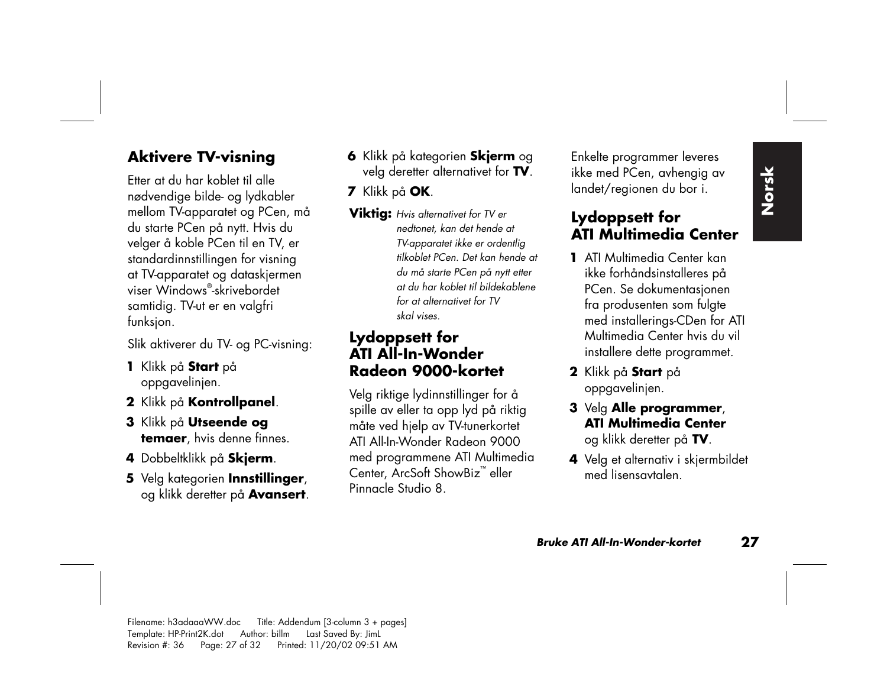### **Aktivere TV-visning**

Etter at du har koblet til alle nødvendige bilde- og lydkabler mellom TV-apparatet og PCen, må du starte PCen på nytt. Hvis du velger å koble PCen til en TV, er standardinnstillingen for visning at TV-apparatet og dataskjermen viser Windows®-skrivebordet samtidig. TV-ut er en valgfri funksjon.

Slik aktiverer du TV- og PC-visning:

- **<sup>1</sup>**Klikk på **Start** p<sup>å</sup> oppgavelinjen.
- **2** Klikk på **Kontrollpanel**.
- **3** Klikk på **Utseende og temaer**, hvis denne finnes.
- **<sup>4</sup>**Dobbeltklikk på **Skjerm**.
- **5** Velg kategorien **Innstillinger**, og klikk deretter på **Avansert**.
- **6** Klikk på kategorien **Skjerm** og velg deretter alternativet for **TV**.
- **<sup>7</sup>**Klikk på **OK**.
- **Viktig:** *Hvis alternativet for TV er nedtonet, kan det hende at TV-apparatet ikke er ordentlig tilkoblet PCen. Det kan hende at du må starte PCen på nytt etter at du har koblet til bildekablene for at alternativet for TV skal vises.*

#### **Lydoppsett for ATI All-In-Wonder Radeon 9000-kortet**

Velg riktige lydinnstillinger for å spille av eller ta opp lyd på riktig måte ved hjelp av TV-tunerkortet ATI All-In-Wonder Radeon 9000 med programmene ATI Multimedia Center, ArcSoft ShowBiz ™ eller Pinnacle Studio 8.

Enkelte programmer leveres ikke med PCen, avhengig av landet/regionen du bor i.

#### **Lydoppsett for ATI Multimedia Center**

- **1** ATI Multimedia Center kan ikke forhåndsinstalleres på PCen. Se dokumentasjonen fra produsenten som fulgte med installerings-CDen for ATI Multimedia Center hvis du vil installere dette programmet.
- **2** Klikk på **Start** p<sup>å</sup> oppgavelinjen.
- **3** Velg **Alle programmer**, **ATI Multimedia Center**og klikk deretter på **TV**.
- **4** Velg et alternativ i skjermbildet med lisensavtalen.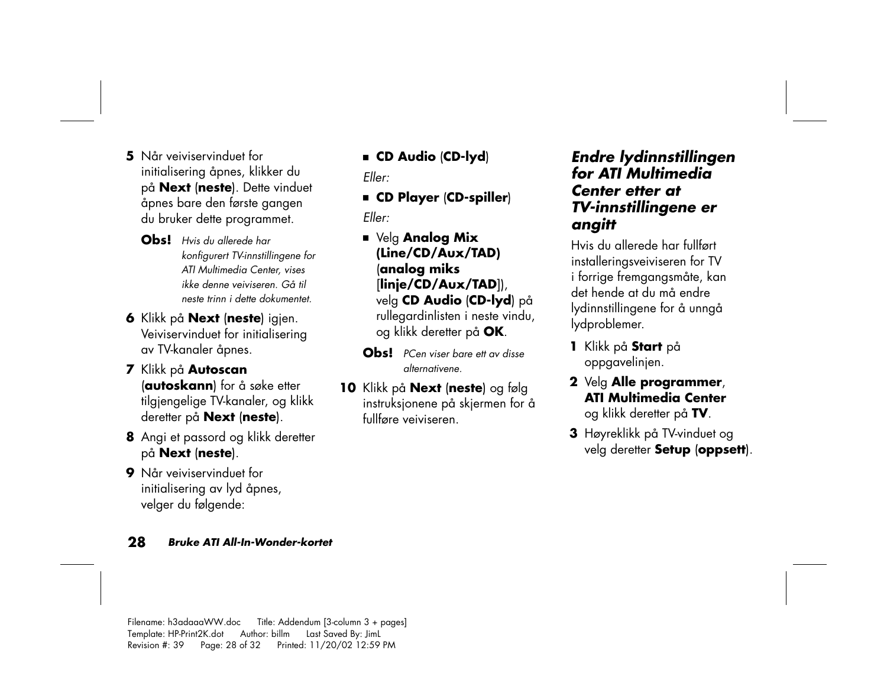**5** Når veiviservinduet for initialisering åpnes, klikker du <sup>p</sup>å **Next** (**neste**). Dette vinduet åpnes bare den første gangen du bruker dette programmet.

**Obs!** *Hvis du allerede har konfigurert TV-innstillingene for ATI Multimedia Center, vises ikke denne veiviseren. Gå til neste trinn i dette dokumentet.* 

**6** Klikk på **Next** (**neste**) igjen. Veiviservinduet for initialisering av TV-kanaler åpnes.

**<sup>7</sup>**Klikk på **Autoscan** (**autoskann**) for å søke etter tilgjengelige TV-kanaler, og klikk deretter på **Next** (**neste**).

- **8** Angi et passord og klikk deretter på **Next** (**neste**).
- **9** Når veiviservinduet for initialisering av lyd åpnes, velger du følgende:

■ **CD Audio** (**CD-lyd**)

*Eller:*

■ **CD Player** (**CD-spiller**)

*Eller:*

- Velg **Analog Mix (Line/CD/Aux/TAD)** (**analog miks**  [**linje/CD/Aux/TAD**]), velg **CD Audio** (**CD-lyd**) på rullegardinlisten i neste vindu, og klikk deretter på **OK**.
- **Obs!** *PCen viser bare ett av disse alternativene.*
- **10** Klikk på **Next** (**neste**) og følg instruksjonene på skjermen for å fullføre veiviseren.

#### *Endre lydinnstillingen for ATI Multimedia Center etter at TV-innstillingene er angitt*

Hvis du allerede har fullført installeringsveiviseren for TV i forrige fremgangsmåte, kan det hende at du må endre lydinnstillingene for å unngå lydproblemer.

- **<sup>1</sup>**Klikk på **Start** p<sup>å</sup> oppgavelinjen.
- **2** Velg **Alle programmer**, **ATI Multimedia Center**og klikk deretter på **TV**.
- **3** Høyreklikk på TV-vinduet og velg deretter **Setup** (**oppsett**).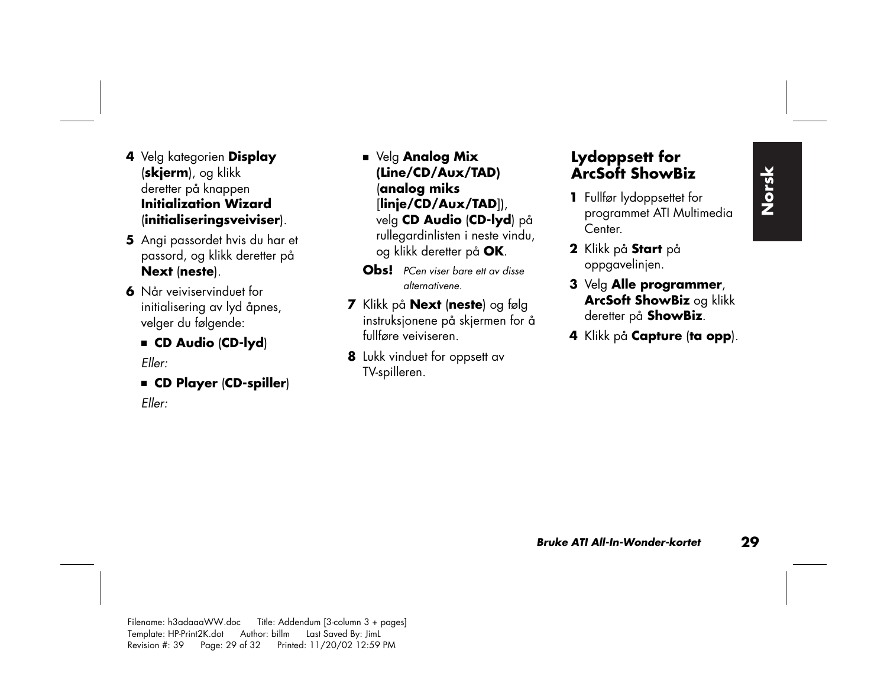- **<sup>4</sup>**Velg kategorien **Display** (**skjerm**), og klikk deretter på knappen **Initialization Wizard**(**initialiseringsveiviser**).
- **5** Angi passordet hvis du har et passord, og klikk deretter på **Next** (**neste**).
- **6** Når veiviservinduet for initialisering av lyd åpnes, velger du følgende:
	- **CD Audio** (**CD-lyd**)

*Eller:*

■ **CD Player** (**CD-spiller**)

*Eller:*

- Velg **Analog Mix (Line/CD/Aux/TAD)**  (**analog miks**  [**linje/CD/Aux/TAD**]), velg **CD Audio** (**CD-lyd**) på rullegardinlisten i neste vindu, og klikk deretter på **OK**.
- **Obs!** *PCen viser bare ett av disse alternativene.*
- **<sup>7</sup>**Klikk på **Next** (**neste**) og følg instruksjonene på skjermen for å fullføre veiviseren.
- **8** Lukk vinduet for oppsett av TV-spilleren.

#### **Lydoppsett for ArcSoft ShowBiz**

- **1** Fullfør lydoppsettet for programmet ATI Multimedia Center.
- **2** Klikk på **Start** p<sup>å</sup> oppgavelinjen.
- **3** Velg **Alle programmer**, **ArcSoft ShowBiz** og klikk deretter på **ShowBiz**.
- **4** Klikk på **Capture** (**ta opp**).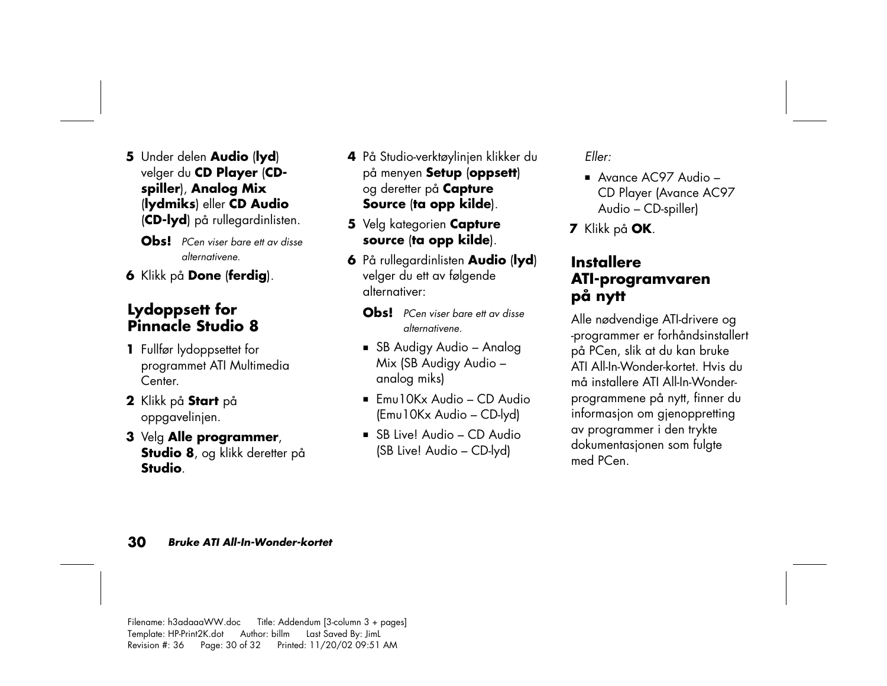- **5** Under delen **Audio** (**lyd**) velger du **CD Player** (**CDspiller**), **Analog Mix** (**lydmiks**) eller **CD Audio** (**CD-lyd**) på rullegardinlisten.
	- **Obs!** *PCen viser bare ett av disse alternativene.*
- **6** Klikk på **Done** (**ferdig**).

#### **Lydoppsett for Pinnacle Studio 8**

- **1** Fullfør lydoppsettet for programmet ATI Multimedia Center.
- **2** Klikk på **Start** p<sup>å</sup> oppgavelinjen.
- **3** Velg **Alle programmer**, **Studio 8**, og klikk deretter på **Studio**.
- **<sup>4</sup>**På Studio-verktøylinjen klikker du på menyen **Setup** (**oppsett**) og deretter på **Capture Source** (**ta opp kilde**).
- **5** Velg kategorien **Capture source** (**ta opp kilde**).
- **6** På rullegardinlisten **Audio** (**lyd**) velger du ett av følgende alternativer:
	- **Obs!** *PCen viser bare ett av disse alternativene.*
	- SB Audigy Audio Analog Mix (SB Audigy Audio – analog miks)
	- $\blacksquare$  Emu10Kx Audio CD Audio (Emu10Kx Audio – CD-lyd)
	- SB Live! Audio CD Audio (SB Live! Audio – CD-lyd)

*Eller:*

- Avance AC97 Audio CD Player (Avance AC97 Audio – CD-spiller)
- **<sup>7</sup>**Klikk på **OK**.

#### **Installere ATI-programvaren på nytt**

Alle nødvendige ATI-drivere og -programmer er forhåndsinstallert <sup>p</sup>å PCen, slik at du kan bruke ATI All-In-Wonder-kortet. Hvis du må installere ATI All-In-Wonderprogrammene på nytt, finner du informasjon om gjenoppretting av programmer i den trykte dokumentasjonen som fulgte med PCen.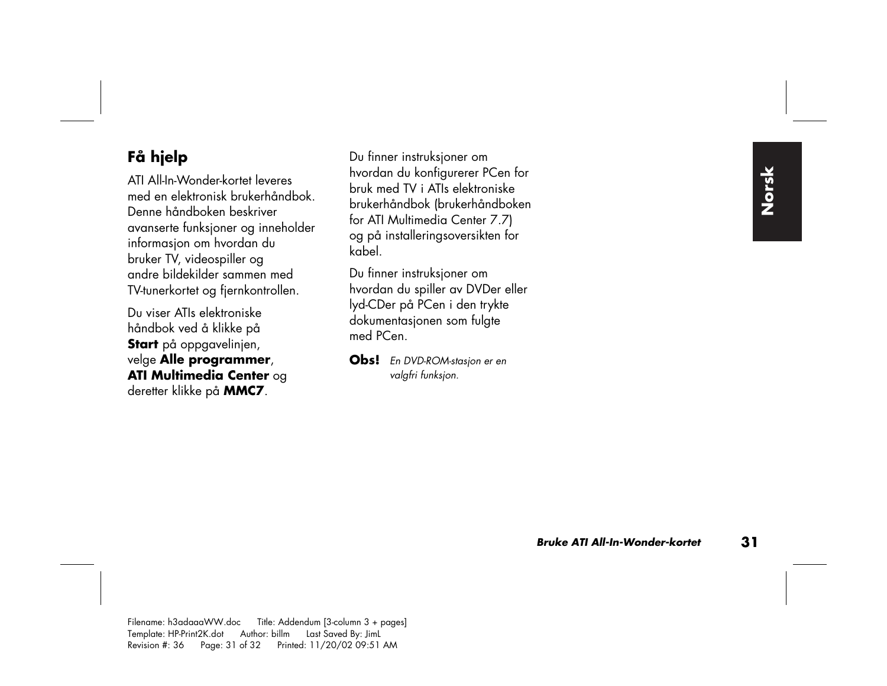## **Få hjelp**

ATI All-In-Wonder-kortet leveres med en elektronisk brukerhåndbok. Denne håndboken beskriver avanserte funksjoner og inneholder informasjon om hvordan du bruker TV, videospiller og andre bildekilder sammen med TV-tunerkortet og fjernkontrollen.

Du viser ATIs elektroniske håndbok ved å klikke på **Start** på oppgavelinjen, velge **Alle programmer**, **ATI Multimedia Center** og deretter klikke på **MMC7**.

Du finner instruksjoner om hvordan du konfigurerer PCen for bruk med TV i ATIs elektroniske brukerhåndbok (brukerhåndboken for ATI Multimedia Center 7.7) og på installeringsoversikten for kabel.

Du finner instruksjoner om hvordan du spiller av DVDer eller lyd-CDer på PCen i den trykte dokumentasjonen som fulgte med PCen.

**Obs!** *En DVD-ROM-stasjon er en valgfri funksjon.*